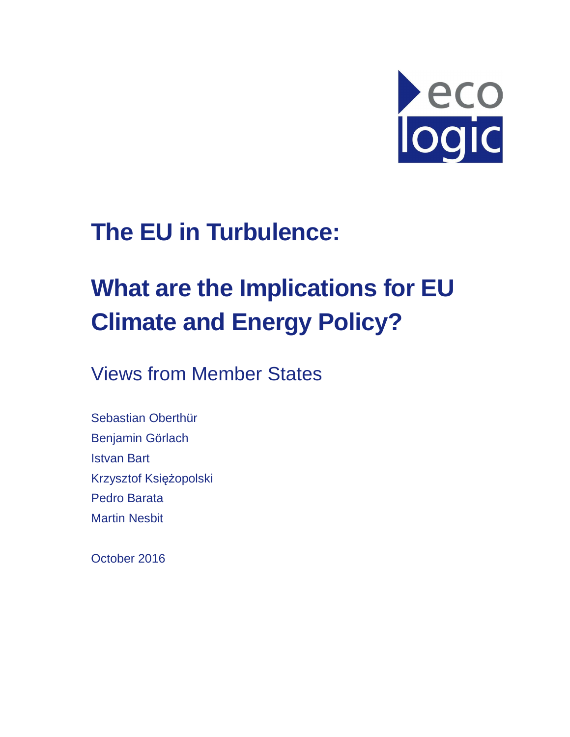

## **The EU in Turbulence:**

# **What are the Implications for EU Climate and Energy Policy?**

Views from Member States

Sebastian Oberthür Benjamin Görlach Istvan Bart Krzysztof Księżopolski Pedro Barata Martin Nesbit

October 2016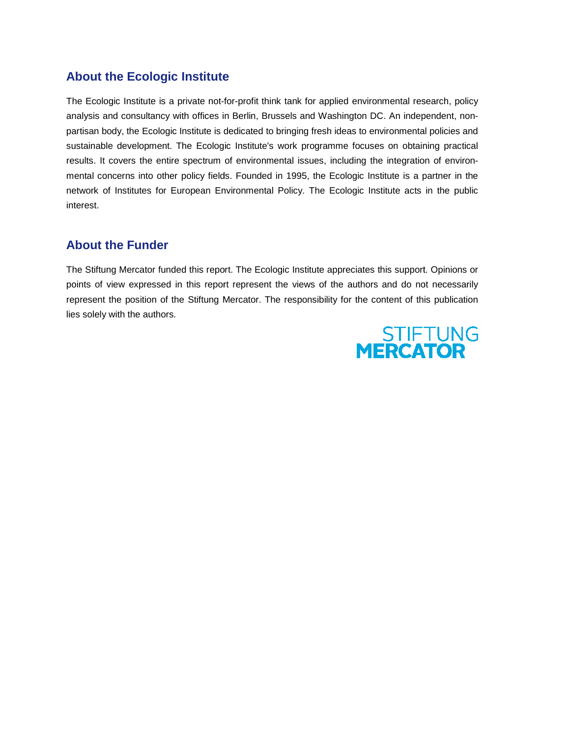#### **About the Ecologic Institute**

The Ecologic Institute is a private not-for-profit think tank for applied environmental research, policy analysis and consultancy with offices in Berlin, Brussels and Washington DC. An independent, non partisan body, the Ecologic Institute is dedicated to bringing fresh ideas to environmental policies and sustainable development. The Ecologic Institute's work programme focuses on obtaining practical results. It covers the entire spectrum of environmental issues, including the integration of enviro mental concerns into other policy fields. Founded in 1995, the Ecologic Institute is a partner in the mental concerns into other policy fields. Founded in 1995, the Ecologic Institute is a partner in the<br>network of Institutes for European Environmental Policy. The Ecologic Institute acts in the public interest. The Ecologic Institute is a private not-for-profit think tank for applied environmental research, policy<br>analysis and consultancy with offices in Berlin, Brussels and Washington DC. An independent, non-<br>partisan body, the the Ecologic Institute is dedicated to bringing fresh ideas to environmental policies and<br>velopment. The Ecologic Institute's work programme focuses on obtaining practical<br>rrs the entire spectrum of environmental issues, i

#### **About the Funder**

The Stiftung Mercator funded this report. The Ecologic Institute appreciates this support. Opinions or points of view expressed in this report represent the views of the authors and do not necessarily represent the position of the Stiftung Mercator. The responsibility for the content of this publication lies solely with the authors. this report. The Ecologic Institute appreciates this support. Opinions or this report represent the views of the authors and do not necessarily Stiftung Mercator. The responsibility for the content of this publication

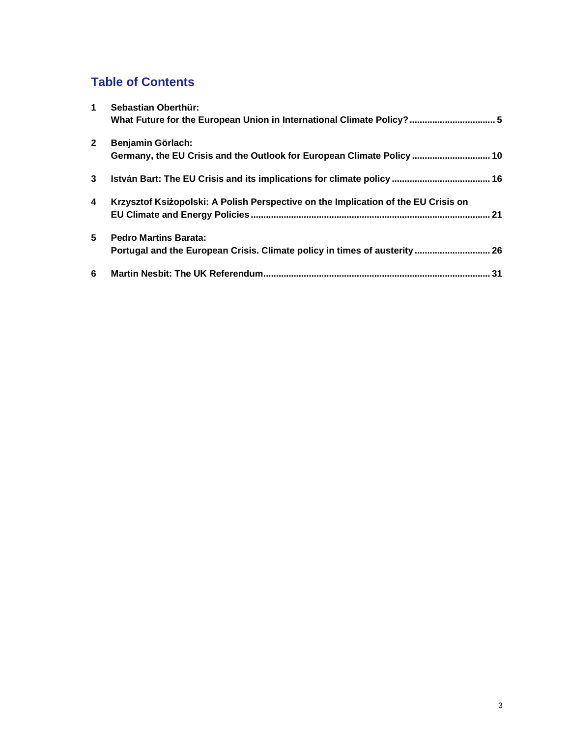### **Table of Contents**

| $\blacktriangleleft$ | Sebastian Oberthür:                                                                |
|----------------------|------------------------------------------------------------------------------------|
|                      |                                                                                    |
| $\mathbf{2}$         | Benjamin Görlach:                                                                  |
|                      | Germany, the EU Crisis and the Outlook for European Climate Policy  10             |
| 3                    |                                                                                    |
| 4                    | Krzysztof Ksiżopolski: A Polish Perspective on the Implication of the EU Crisis on |
|                      | 21                                                                                 |
| 5                    | <b>Pedro Martins Barata:</b>                                                       |
|                      | Portugal and the European Crisis. Climate policy in times of austerity  26         |
| 6                    | 31                                                                                 |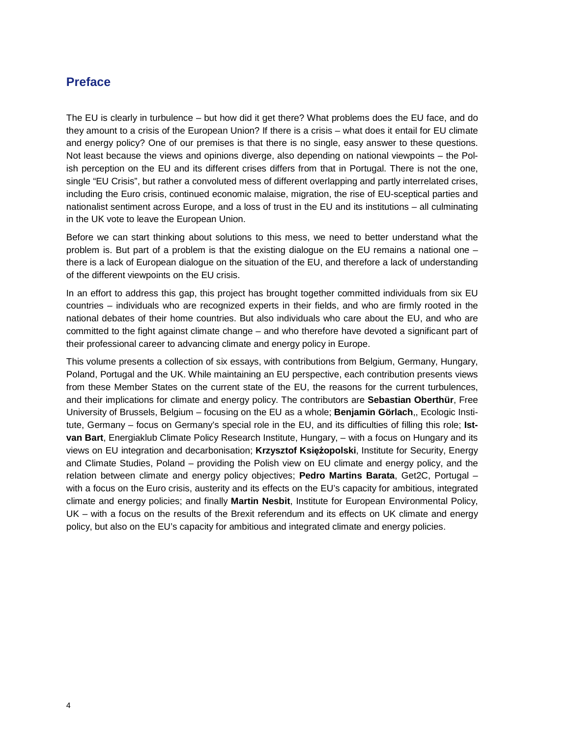#### **Preface**

The EU is clearly in turbulence – but how did it get there? What problems does the EU face, and do they amount to a crisis of the European Union? If there is a crisis – what does it entail for EU climate and energy policy? One of our premises is that there is no single, easy answer to these questions. Not least because the views and opinions diverge, also depending on national viewpoints – the Polish perception on the EU and its different crises differs from that in Portugal. There is not the one, single "EU Crisis", but rather a convoluted mess of different overlapping and partly interrelated crises, including the Euro crisis, continued economic malaise, migration, the rise of EU-sceptical parties and nationalist sentiment across Europe, and a loss of trust in the EU and its institutions – all culminating in the UK vote to leave the European Union.

Before we can start thinking about solutions to this mess, we need to better understand what the problem is. But part of a problem is that the existing dialogue on the EU remains a national one – there is a lack of European dialogue on the situation of the EU, and therefore a lack of understanding of the different viewpoints on the EU crisis.

In an effort to address this gap, this project has brought together committed individuals from six EU countries – individuals who are recognized experts in their fields, and who are firmly rooted in the national debates of their home countries. But also individuals who care about the EU, and who are committed to the fight against climate change – and who therefore have devoted a significant part of their professional career to advancing climate and energy policy in Europe.

This volume presents a collection of six essays, with contributions from Belgium, Germany, Hungary, Poland, Portugal and the UK. While maintaining an EU perspective, each contribution presents views from these Member States on the current state of the EU, the reasons for the current turbulences, and their implications for climate and energy policy. The contributors are **Sebastian Oberthür**, Free University of Brussels, Belgium – focusing on the EU as a whole; **Benjamin Görlach**,, Ecologic Institute, Germany – focus on Germany's special role in the EU, and its difficulties of filling this role; **Istvan Bart**, Energiaklub Climate Policy Research Institute, Hungary, – with a focus on Hungary and its views on EU integration and decarbonisation; **Krzysztof Księżopolski**, Institute for Security, Energy and Climate Studies, Poland – providing the Polish view on EU climate and energy policy, and the relation between climate and energy policy objectives; **Pedro Martins Barata**, Get2C, Portugal – with a focus on the Euro crisis, austerity and its effects on the EU's capacity for ambitious, integrated climate and energy policies; and finally **Martin Nesbit**, Institute for European Environmental Policy, UK – with a focus on the results of the Brexit referendum and its effects on UK climate and energy policy, but also on the EU's capacity for ambitious and integrated climate and energy policies.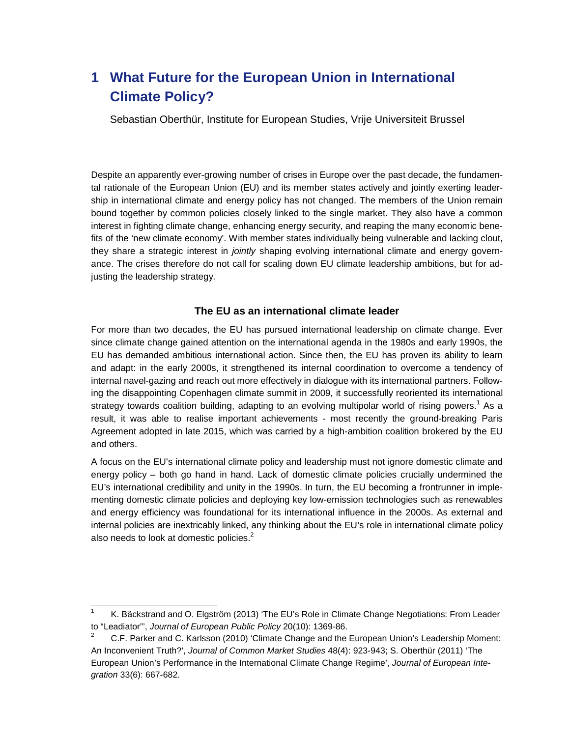## **1 What Future for the European Union in International Climate Policy?**

Sebastian Oberthür, Institute for European Studies, Vrije Universiteit Brussel

Despite an apparently ever-growing number of crises in Europe over the past decade, the fundamental rationale of the European Union (EU) and its member states actively and jointly exerting leadership in international climate and energy policy has not changed. The members of the Union remain bound together by common policies closely linked to the single market. They also have a common interest in fighting climate change, enhancing energy security, and reaping the many economic benefits of the 'new climate economy'. With member states individually being vulnerable and lacking clout, they share a strategic interest in jointly shaping evolving international climate and energy governance. The crises therefore do not call for scaling down EU climate leadership ambitions, but for adjusting the leadership strategy.

#### **The EU as an international climate leader**

For more than two decades, the EU has pursued international leadership on climate change. Ever since climate change gained attention on the international agenda in the 1980s and early 1990s, the EU has demanded ambitious international action. Since then, the EU has proven its ability to learn and adapt: in the early 2000s, it strengthened its internal coordination to overcome a tendency of internal navel-gazing and reach out more effectively in dialogue with its international partners. Following the disappointing Copenhagen climate summit in 2009, it successfully reoriented its international strategy towards coalition building, adapting to an evolving multipolar world of rising powers.<sup>1</sup> As a result, it was able to realise important achievements - most recently the ground-breaking Paris Agreement adopted in late 2015, which was carried by a high-ambition coalition brokered by the EU and others.

A focus on the EU's international climate policy and leadership must not ignore domestic climate and energy policy – both go hand in hand. Lack of domestic climate policies crucially undermined the EU's international credibility and unity in the 1990s. In turn, the EU becoming a frontrunner in implementing domestic climate policies and deploying key low-emission technologies such as renewables and energy efficiency was foundational for its international influence in the 2000s. As external and internal policies are inextricably linked, any thinking about the EU's role in international climate policy also needs to look at domestic policies. $2$ 

l

<sup>1</sup> K. Bäckstrand and O. Elgström (2013) 'The EU's Role in Climate Change Negotiations: From Leader to "Leadiator"', Journal of European Public Policy 20(10): 1369-86.

<sup>2</sup> C.F. Parker and C. Karlsson (2010) 'Climate Change and the European Union's Leadership Moment: An Inconvenient Truth?', Journal of Common Market Studies 48(4): 923-943; S. Oberthür (2011) 'The European Union's Performance in the International Climate Change Regime', Journal of European Integration 33(6): 667-682.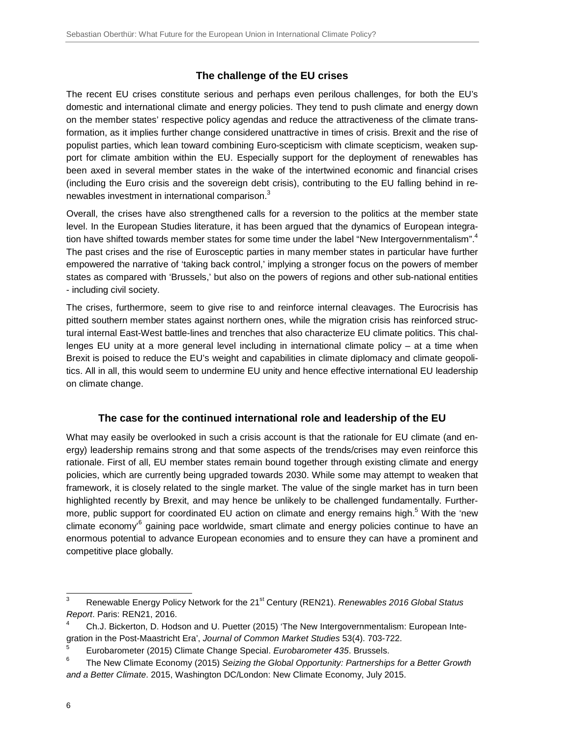#### **The challenge of the EU crises**

The recent EU crises constitute serious and perhaps even perilous challenges, for both the EU's domestic and international climate and energy policies. They tend to push climate and energy down on the member states' respective policy agendas and reduce the attractiveness of the climate transformation, as it implies further change considered unattractive in times of crisis. Brexit and the rise of populist parties, which lean toward combining Euro-scepticism with climate scepticism, weaken support for climate ambition within the EU. Especially support for the deployment of renewables has been axed in several member states in the wake of the intertwined economic and financial crises (including the Euro crisis and the sovereign debt crisis), contributing to the EU falling behind in renewables investment in international comparison. $3$ 

Overall, the crises have also strengthened calls for a reversion to the politics at the member state level. In the European Studies literature, it has been argued that the dynamics of European integration have shifted towards member states for some time under the label "New Intergovernmentalism".<sup>4</sup> The past crises and the rise of Eurosceptic parties in many member states in particular have further empowered the narrative of 'taking back control,' implying a stronger focus on the powers of member states as compared with 'Brussels,' but also on the powers of regions and other sub-national entities - including civil society.

The crises, furthermore, seem to give rise to and reinforce internal cleavages. The Eurocrisis has pitted southern member states against northern ones, while the migration crisis has reinforced structural internal East-West battle-lines and trenches that also characterize EU climate politics. This challenges EU unity at a more general level including in international climate policy – at a time when Brexit is poised to reduce the EU's weight and capabilities in climate diplomacy and climate geopolitics. All in all, this would seem to undermine EU unity and hence effective international EU leadership on climate change.

#### **The case for the continued international role and leadership of the EU**

What may easily be overlooked in such a crisis account is that the rationale for EU climate (and energy) leadership remains strong and that some aspects of the trends/crises may even reinforce this rationale. First of all, EU member states remain bound together through existing climate and energy policies, which are currently being upgraded towards 2030. While some may attempt to weaken that framework, it is closely related to the single market. The value of the single market has in turn been highlighted recently by Brexit, and may hence be unlikely to be challenged fundamentally. Furthermore, public support for coordinated EU action on climate and energy remains high.<sup>5</sup> With the 'new climate economy'<sup>6</sup> gaining pace worldwide, smart climate and energy policies continue to have an enormous potential to advance European economies and to ensure they can have a prominent and competitive place globally.

 3 Renewable Energy Policy Network for the 21<sup>st</sup> Century (REN21). Renewables 2016 Global Status Report. Paris: REN21, 2016.

<sup>4</sup> Ch.J. Bickerton, D. Hodson and U. Puetter (2015) 'The New Intergovernmentalism: European Integration in the Post-Maastricht Era', Journal of Common Market Studies 53(4). 703-722.

<sup>5</sup> Eurobarometer (2015) Climate Change Special. Eurobarometer 435. Brussels.

<sup>6</sup> The New Climate Economy (2015) Seizing the Global Opportunity: Partnerships for a Better Growth and a Better Climate. 2015, Washington DC/London: New Climate Economy, July 2015.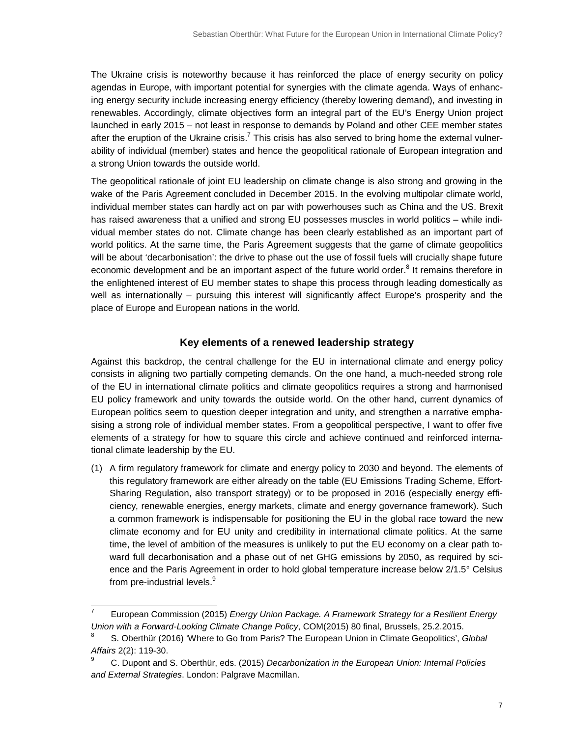The Ukraine crisis is noteworthy because it has reinforced the place of energy security on policy agendas in Europe, with important potential for synergies with the climate agenda. Ways of enhancing energy security include increasing energy efficiency (thereby lowering demand), and investing in renewables. Accordingly, climate objectives form an integral part of the EU's Energy Union project launched in early 2015 – not least in response to demands by Poland and other CEE member states after the eruption of the Ukraine crisis.<sup>7</sup> This crisis has also served to bring home the external vulnerability of individual (member) states and hence the geopolitical rationale of European integration and a strong Union towards the outside world.

The geopolitical rationale of joint EU leadership on climate change is also strong and growing in the wake of the Paris Agreement concluded in December 2015. In the evolving multipolar climate world, individual member states can hardly act on par with powerhouses such as China and the US. Brexit has raised awareness that a unified and strong EU possesses muscles in world politics - while individual member states do not. Climate change has been clearly established as an important part of world politics. At the same time, the Paris Agreement suggests that the game of climate geopolitics will be about 'decarbonisation': the drive to phase out the use of fossil fuels will crucially shape future economic development and be an important aspect of the future world order.<sup>8</sup> It remains therefore in the enlightened interest of EU member states to shape this process through leading domestically as well as internationally – pursuing this interest will significantly affect Europe's prosperity and the place of Europe and European nations in the world.

#### **Key elements of a renewed leadership strategy**

Against this backdrop, the central challenge for the EU in international climate and energy policy consists in aligning two partially competing demands. On the one hand, a much-needed strong role of the EU in international climate politics and climate geopolitics requires a strong and harmonised EU policy framework and unity towards the outside world. On the other hand, current dynamics of European politics seem to question deeper integration and unity, and strengthen a narrative emphasising a strong role of individual member states. From a geopolitical perspective, I want to offer five elements of a strategy for how to square this circle and achieve continued and reinforced international climate leadership by the EU.

(1) A firm regulatory framework for climate and energy policy to 2030 and beyond. The elements of this regulatory framework are either already on the table (EU Emissions Trading Scheme, Effort-Sharing Regulation, also transport strategy) or to be proposed in 2016 (especially energy efficiency, renewable energies, energy markets, climate and energy governance framework). Such a common framework is indispensable for positioning the EU in the global race toward the new climate economy and for EU unity and credibility in international climate politics. At the same time, the level of ambition of the measures is unlikely to put the EU economy on a clear path toward full decarbonisation and a phase out of net GHG emissions by 2050, as required by science and the Paris Agreement in order to hold global temperature increase below 2/1.5° Celsius from pre-industrial levels.<sup>9</sup>

l 7 European Commission (2015) Energy Union Package. A Framework Strategy for a Resilient Energy Union with a Forward-Looking Climate Change Policy, COM(2015) 80 final, Brussels, 25.2.2015.

<sup>8</sup> S. Oberthür (2016) 'Where to Go from Paris? The European Union in Climate Geopolitics', Global Affairs 2(2): 119-30.

<sup>9</sup> C. Dupont and S. Oberthür, eds. (2015) Decarbonization in the European Union: Internal Policies and External Strategies. London: Palgrave Macmillan.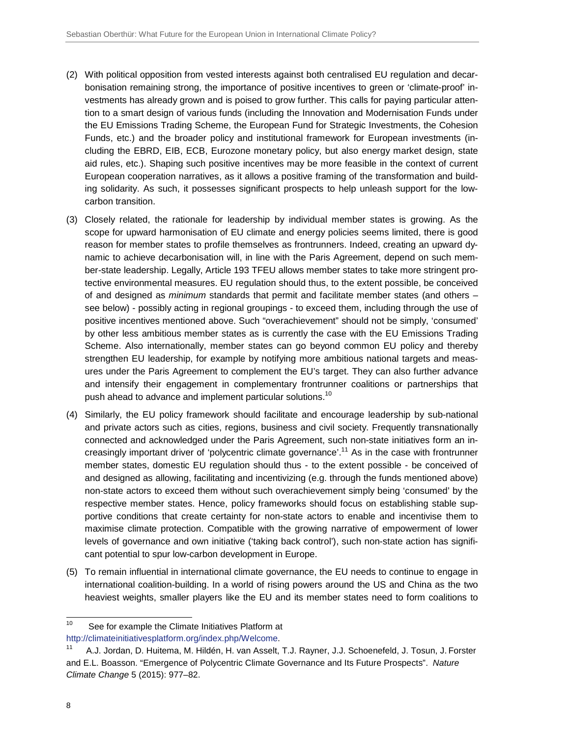- (2) With political opposition from vested interests against both centralised EU regulation and decarbonisation remaining strong, the importance of positive incentives to green or 'climate-proof' investments has already grown and is poised to grow further. This calls for paying particular attention to a smart design of various funds (including the Innovation and Modernisation Funds under the EU Emissions Trading Scheme, the European Fund for Strategic Investments, the Cohesion Funds, etc.) and the broader policy and institutional framework for European investments (including the EBRD, EIB, ECB, Eurozone monetary policy, but also energy market design, state aid rules, etc.). Shaping such positive incentives may be more feasible in the context of current European cooperation narratives, as it allows a positive framing of the transformation and building solidarity. As such, it possesses significant prospects to help unleash support for the lowcarbon transition.
- (3) Closely related, the rationale for leadership by individual member states is growing. As the scope for upward harmonisation of EU climate and energy policies seems limited, there is good reason for member states to profile themselves as frontrunners. Indeed, creating an upward dynamic to achieve decarbonisation will, in line with the Paris Agreement, depend on such member-state leadership. Legally, Article 193 TFEU allows member states to take more stringent protective environmental measures. EU regulation should thus, to the extent possible, be conceived of and designed as minimum standards that permit and facilitate member states (and others – see below) - possibly acting in regional groupings - to exceed them, including through the use of positive incentives mentioned above. Such "overachievement" should not be simply, 'consumed' by other less ambitious member states as is currently the case with the EU Emissions Trading Scheme. Also internationally, member states can go beyond common EU policy and thereby strengthen EU leadership, for example by notifying more ambitious national targets and measures under the Paris Agreement to complement the EU's target. They can also further advance and intensify their engagement in complementary frontrunner coalitions or partnerships that push ahead to advance and implement particular solutions.<sup>10</sup>
- (4) Similarly, the EU policy framework should facilitate and encourage leadership by sub-national and private actors such as cities, regions, business and civil society. Frequently transnationally connected and acknowledged under the Paris Agreement, such non-state initiatives form an increasingly important driver of 'polycentric climate governance'.<sup>11</sup> As in the case with frontrunner member states, domestic EU regulation should thus - to the extent possible - be conceived of and designed as allowing, facilitating and incentivizing (e.g. through the funds mentioned above) non-state actors to exceed them without such overachievement simply being 'consumed' by the respective member states. Hence, policy frameworks should focus on establishing stable supportive conditions that create certainty for non-state actors to enable and incentivise them to maximise climate protection. Compatible with the growing narrative of empowerment of lower levels of governance and own initiative ('taking back control'), such non-state action has significant potential to spur low-carbon development in Europe.
- (5) To remain influential in international climate governance, the EU needs to continue to engage in international coalition-building. In a world of rising powers around the US and China as the two heaviest weights, smaller players like the EU and its member states need to form coalitions to

 $10\,$ See for example the Climate Initiatives Platform at http://climateinitiativesplatform.org/index.php/Welcome.

<sup>&</sup>lt;sup>11</sup> A.J. Jordan, D. Huitema, M. Hildén, H. van Asselt, T.J. Rayner, J.J. Schoenefeld, J. Tosun, J. Forster and E.L. Boasson. "Emergence of Polycentric Climate Governance and Its Future Prospects". Nature Climate Change 5 (2015): 977–82.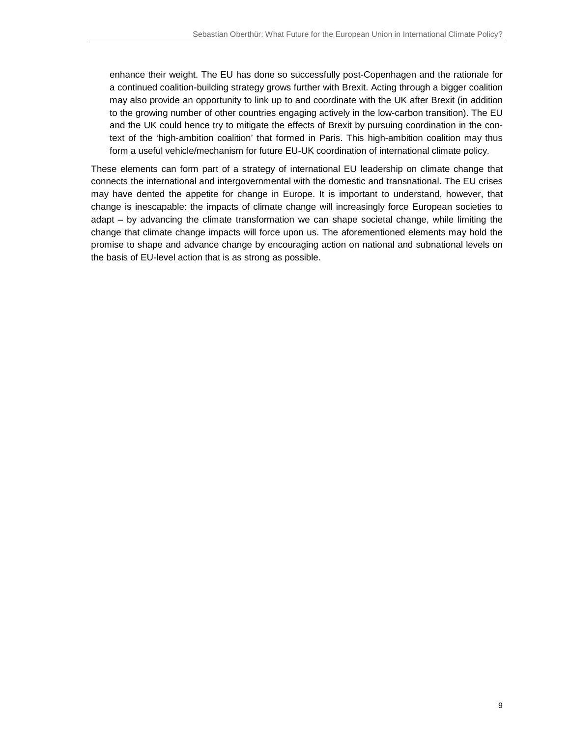enhance their weight. The EU has done so successfully post-Copenhagen and the rationale for a continued coalition-building strategy grows further with Brexit. Acting through a bigger coalition may also provide an opportunity to link up to and coordinate with the UK after Brexit (in addition to the growing number of other countries engaging actively in the low-carbon transition). The EU and the UK could hence try to mitigate the effects of Brexit by pursuing coordination in the context of the 'high-ambition coalition' that formed in Paris. This high-ambition coalition may thus form a useful vehicle/mechanism for future EU-UK coordination of international climate policy.

These elements can form part of a strategy of international EU leadership on climate change that connects the international and intergovernmental with the domestic and transnational. The EU crises may have dented the appetite for change in Europe. It is important to understand, however, that change is inescapable: the impacts of climate change will increasingly force European societies to adapt – by advancing the climate transformation we can shape societal change, while limiting the change that climate change impacts will force upon us. The aforementioned elements may hold the promise to shape and advance change by encouraging action on national and subnational levels on the basis of EU-level action that is as strong as possible.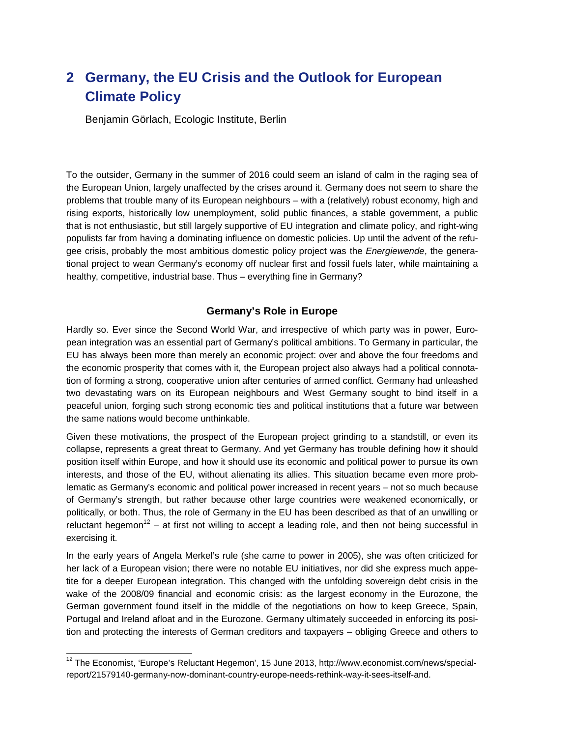## **2 Germany, the EU Crisis and the Outlook for European Climate Policy**

Benjamin Görlach, Ecologic Institute, Berlin

To the outsider, Germany in the summer of 2016 could seem an island of calm in the raging sea of the European Union, largely unaffected by the crises around it. Germany does not seem to share the problems that trouble many of its European neighbours – with a (relatively) robust economy, high and rising exports, historically low unemployment, solid public finances, a stable government, a public that is not enthusiastic, but still largely supportive of EU integration and climate policy, and right-wing populists far from having a dominating influence on domestic policies. Up until the advent of the refugee crisis, probably the most ambitious domestic policy project was the Energiewende, the generational project to wean Germany's economy off nuclear first and fossil fuels later, while maintaining a healthy, competitive, industrial base. Thus – everything fine in Germany?

#### **Germany's Role in Europe**

Hardly so. Ever since the Second World War, and irrespective of which party was in power, European integration was an essential part of Germany's political ambitions. To Germany in particular, the EU has always been more than merely an economic project: over and above the four freedoms and the economic prosperity that comes with it, the European project also always had a political connotation of forming a strong, cooperative union after centuries of armed conflict. Germany had unleashed two devastating wars on its European neighbours and West Germany sought to bind itself in a peaceful union, forging such strong economic ties and political institutions that a future war between the same nations would become unthinkable.

Given these motivations, the prospect of the European project grinding to a standstill, or even its collapse, represents a great threat to Germany. And yet Germany has trouble defining how it should position itself within Europe, and how it should use its economic and political power to pursue its own interests, and those of the EU, without alienating its allies. This situation became even more problematic as Germany's economic and political power increased in recent years – not so much because of Germany's strength, but rather because other large countries were weakened economically, or politically, or both. Thus, the role of Germany in the EU has been described as that of an unwilling or reluctant hegemon<sup>12</sup> – at first not willing to accept a leading role, and then not being successful in exercising it.

In the early years of Angela Merkel's rule (she came to power in 2005), she was often criticized for her lack of a European vision; there were no notable EU initiatives, nor did she express much appetite for a deeper European integration. This changed with the unfolding sovereign debt crisis in the wake of the 2008/09 financial and economic crisis: as the largest economy in the Eurozone, the German government found itself in the middle of the negotiations on how to keep Greece, Spain, Portugal and Ireland afloat and in the Eurozone. Germany ultimately succeeded in enforcing its position and protecting the interests of German creditors and taxpayers – obliging Greece and others to

 $\overline{a}$ 

 $12$  The Economist, 'Europe's Reluctant Hegemon', 15 June 2013, http://www.economist.com/news/specialreport/21579140-germany-now-dominant-country-europe-needs-rethink-way-it-sees-itself-and.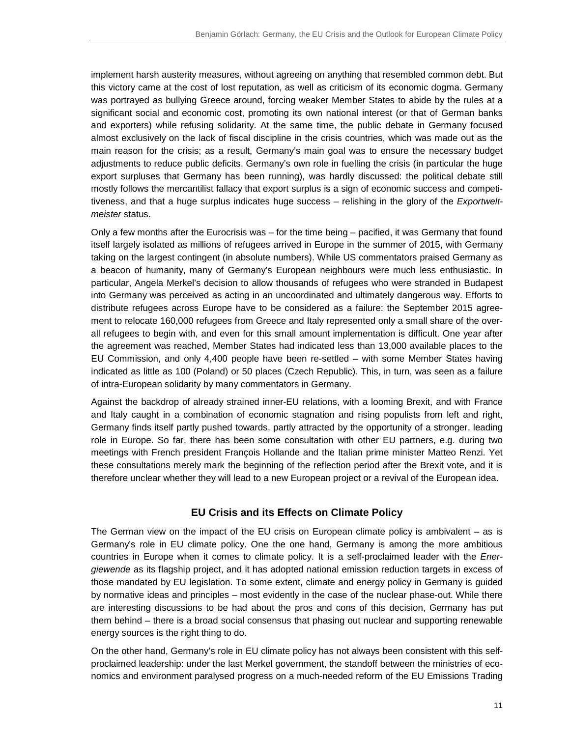implement harsh austerity measures, without agreeing on anything that resembled common debt. But this victory came at the cost of lost reputation, as well as criticism of its economic dogma. Germany was portrayed as bullying Greece around, forcing weaker Member States to abide by the rules at a significant social and economic cost, promoting its own national interest (or that of German banks and exporters) while refusing solidarity. At the same time, the public debate in Germany focused almost exclusively on the lack of fiscal discipline in the crisis countries, which was made out as the main reason for the crisis; as a result, Germany's main goal was to ensure the necessary budget adjustments to reduce public deficits. Germany's own role in fuelling the crisis (in particular the huge export surpluses that Germany has been running), was hardly discussed: the political debate still mostly follows the mercantilist fallacy that export surplus is a sign of economic success and competitiveness, and that a huge surplus indicates huge success – relishing in the glory of the Exportweltmeister status.

Only a few months after the Eurocrisis was – for the time being – pacified, it was Germany that found itself largely isolated as millions of refugees arrived in Europe in the summer of 2015, with Germany taking on the largest contingent (in absolute numbers). While US commentators praised Germany as a beacon of humanity, many of Germany's European neighbours were much less enthusiastic. In particular, Angela Merkel's decision to allow thousands of refugees who were stranded in Budapest into Germany was perceived as acting in an uncoordinated and ultimately dangerous way. Efforts to distribute refugees across Europe have to be considered as a failure: the September 2015 agreement to relocate 160,000 refugees from Greece and Italy represented only a small share of the overall refugees to begin with, and even for this small amount implementation is difficult. One year after the agreement was reached, Member States had indicated less than 13,000 available places to the EU Commission, and only 4,400 people have been re-settled – with some Member States having indicated as little as 100 (Poland) or 50 places (Czech Republic). This, in turn, was seen as a failure of intra-European solidarity by many commentators in Germany.

Against the backdrop of already strained inner-EU relations, with a looming Brexit, and with France and Italy caught in a combination of economic stagnation and rising populists from left and right, Germany finds itself partly pushed towards, partly attracted by the opportunity of a stronger, leading role in Europe. So far, there has been some consultation with other EU partners, e.g. during two meetings with French president François Hollande and the Italian prime minister Matteo Renzi. Yet these consultations merely mark the beginning of the reflection period after the Brexit vote, and it is therefore unclear whether they will lead to a new European project or a revival of the European idea.

#### **EU Crisis and its Effects on Climate Policy**

The German view on the impact of the EU crisis on European climate policy is ambivalent – as is Germany's role in EU climate policy. One the one hand, Germany is among the more ambitious countries in Europe when it comes to climate policy. It is a self-proclaimed leader with the Energiewende as its flagship project, and it has adopted national emission reduction targets in excess of those mandated by EU legislation. To some extent, climate and energy policy in Germany is guided by normative ideas and principles – most evidently in the case of the nuclear phase-out. While there are interesting discussions to be had about the pros and cons of this decision, Germany has put them behind – there is a broad social consensus that phasing out nuclear and supporting renewable energy sources is the right thing to do.

On the other hand, Germany's role in EU climate policy has not always been consistent with this selfproclaimed leadership: under the last Merkel government, the standoff between the ministries of economics and environment paralysed progress on a much-needed reform of the EU Emissions Trading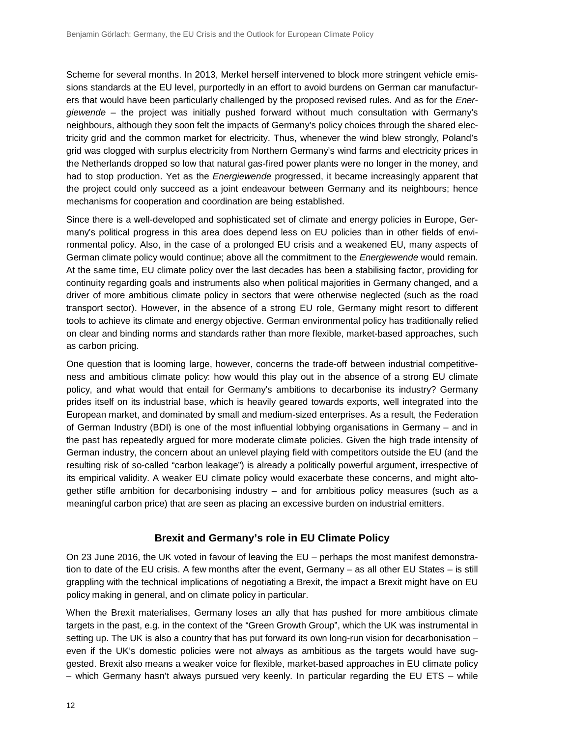Scheme for several months. In 2013, Merkel herself intervened to block more stringent vehicle emissions standards at the EU level, purportedly in an effort to avoid burdens on German car manufacturers that would have been particularly challenged by the proposed revised rules. And as for the *Ener*giewende – the project was initially pushed forward without much consultation with Germany's neighbours, although they soon felt the impacts of Germany's policy choices through the shared electricity grid and the common market for electricity. Thus, whenever the wind blew strongly, Poland's grid was clogged with surplus electricity from Northern Germany's wind farms and electricity prices in the Netherlands dropped so low that natural gas-fired power plants were no longer in the money, and had to stop production. Yet as the *Energiewende* progressed, it became increasingly apparent that the project could only succeed as a joint endeavour between Germany and its neighbours; hence mechanisms for cooperation and coordination are being established.

Since there is a well-developed and sophisticated set of climate and energy policies in Europe, Germany's political progress in this area does depend less on EU policies than in other fields of environmental policy. Also, in the case of a prolonged EU crisis and a weakened EU, many aspects of German climate policy would continue; above all the commitment to the *Energiewende* would remain. At the same time, EU climate policy over the last decades has been a stabilising factor, providing for continuity regarding goals and instruments also when political majorities in Germany changed, and a driver of more ambitious climate policy in sectors that were otherwise neglected (such as the road transport sector). However, in the absence of a strong EU role, Germany might resort to different tools to achieve its climate and energy objective. German environmental policy has traditionally relied on clear and binding norms and standards rather than more flexible, market-based approaches, such as carbon pricing.

One question that is looming large, however, concerns the trade-off between industrial competitiveness and ambitious climate policy: how would this play out in the absence of a strong EU climate policy, and what would that entail for Germany's ambitions to decarbonise its industry? Germany prides itself on its industrial base, which is heavily geared towards exports, well integrated into the European market, and dominated by small and medium-sized enterprises. As a result, the Federation of German Industry (BDI) is one of the most influential lobbying organisations in Germany – and in the past has repeatedly argued for more moderate climate policies. Given the high trade intensity of German industry, the concern about an unlevel playing field with competitors outside the EU (and the resulting risk of so-called "carbon leakage") is already a politically powerful argument, irrespective of its empirical validity. A weaker EU climate policy would exacerbate these concerns, and might altogether stifle ambition for decarbonising industry – and for ambitious policy measures (such as a meaningful carbon price) that are seen as placing an excessive burden on industrial emitters.

#### **Brexit and Germany's role in EU Climate Policy**

On 23 June 2016, the UK voted in favour of leaving the EU – perhaps the most manifest demonstration to date of the EU crisis. A few months after the event, Germany – as all other EU States – is still grappling with the technical implications of negotiating a Brexit, the impact a Brexit might have on EU policy making in general, and on climate policy in particular.

When the Brexit materialises, Germany loses an ally that has pushed for more ambitious climate targets in the past, e.g. in the context of the "Green Growth Group", which the UK was instrumental in setting up. The UK is also a country that has put forward its own long-run vision for decarbonisation – even if the UK's domestic policies were not always as ambitious as the targets would have suggested. Brexit also means a weaker voice for flexible, market-based approaches in EU climate policy – which Germany hasn't always pursued very keenly. In particular regarding the EU ETS – while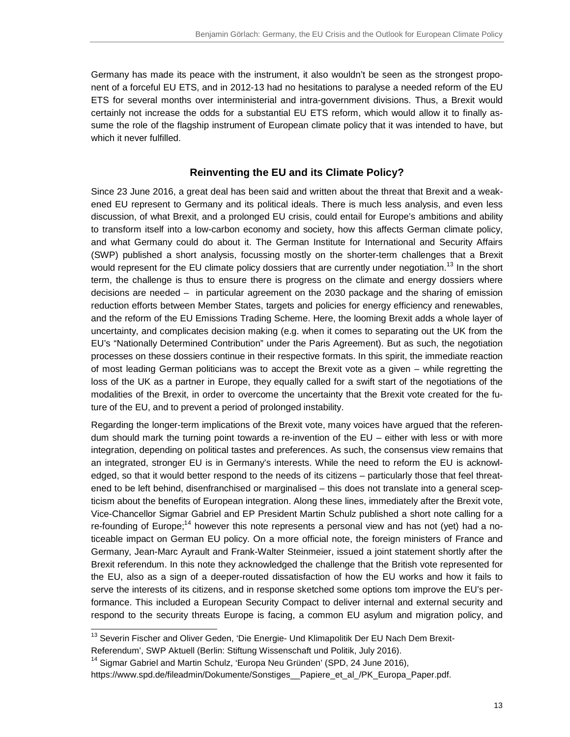Germany has made its peace with the instrument, it also wouldn't be seen as the strongest proponent of a forceful EU ETS, and in 2012-13 had no hesitations to paralyse a needed reform of the EU ETS for several months over interministerial and intra-government divisions. Thus, a Brexit would certainly not increase the odds for a substantial EU ETS reform, which would allow it to finally assume the role of the flagship instrument of European climate policy that it was intended to have, but which it never fulfilled.

#### **Reinventing the EU and its Climate Policy?**

Since 23 June 2016, a great deal has been said and written about the threat that Brexit and a weakened EU represent to Germany and its political ideals. There is much less analysis, and even less discussion, of what Brexit, and a prolonged EU crisis, could entail for Europe's ambitions and ability to transform itself into a low-carbon economy and society, how this affects German climate policy, and what Germany could do about it. The German Institute for International and Security Affairs (SWP) published a short analysis, focussing mostly on the shorter-term challenges that a Brexit would represent for the EU climate policy dossiers that are currently under negotiation.<sup>13</sup> In the short term, the challenge is thus to ensure there is progress on the climate and energy dossiers where decisions are needed – in particular agreement on the 2030 package and the sharing of emission reduction efforts between Member States, targets and policies for energy efficiency and renewables, and the reform of the EU Emissions Trading Scheme. Here, the looming Brexit adds a whole layer of uncertainty, and complicates decision making (e.g. when it comes to separating out the UK from the EU's "Nationally Determined Contribution" under the Paris Agreement). But as such, the negotiation processes on these dossiers continue in their respective formats. In this spirit, the immediate reaction of most leading German politicians was to accept the Brexit vote as a given – while regretting the loss of the UK as a partner in Europe, they equally called for a swift start of the negotiations of the modalities of the Brexit, in order to overcome the uncertainty that the Brexit vote created for the future of the EU, and to prevent a period of prolonged instability.

Regarding the longer-term implications of the Brexit vote, many voices have argued that the referendum should mark the turning point towards a re-invention of the EU – either with less or with more integration, depending on political tastes and preferences. As such, the consensus view remains that an integrated, stronger EU is in Germany's interests. While the need to reform the EU is acknowledged, so that it would better respond to the needs of its citizens – particularly those that feel threatened to be left behind, disenfranchised or marginalised – this does not translate into a general scepticism about the benefits of European integration. Along these lines, immediately after the Brexit vote, Vice-Chancellor Sigmar Gabriel and EP President Martin Schulz published a short note calling for a re-founding of Europe;<sup>14</sup> however this note represents a personal view and has not (yet) had a noticeable impact on German EU policy. On a more official note, the foreign ministers of France and Germany, Jean-Marc Ayrault and Frank-Walter Steinmeier, issued a joint statement shortly after the Brexit referendum. In this note they acknowledged the challenge that the British vote represented for the EU, also as a sign of a deeper-routed dissatisfaction of how the EU works and how it fails to serve the interests of its citizens, and in response sketched some options tom improve the EU's performance. This included a European Security Compact to deliver internal and external security and respond to the security threats Europe is facing, a common EU asylum and migration policy, and

l

<sup>&</sup>lt;sup>13</sup> Severin Fischer and Oliver Geden, 'Die Energie- Und Klimapolitik Der EU Nach Dem Brexit-Referendum', SWP Aktuell (Berlin: Stiftung Wissenschaft und Politik, July 2016).

<sup>&</sup>lt;sup>14</sup> Sigmar Gabriel and Martin Schulz, 'Europa Neu Gründen' (SPD, 24 June 2016),

https://www.spd.de/fileadmin/Dokumente/Sonstiges\_\_Papiere\_et\_al\_/PK\_Europa\_Paper.pdf.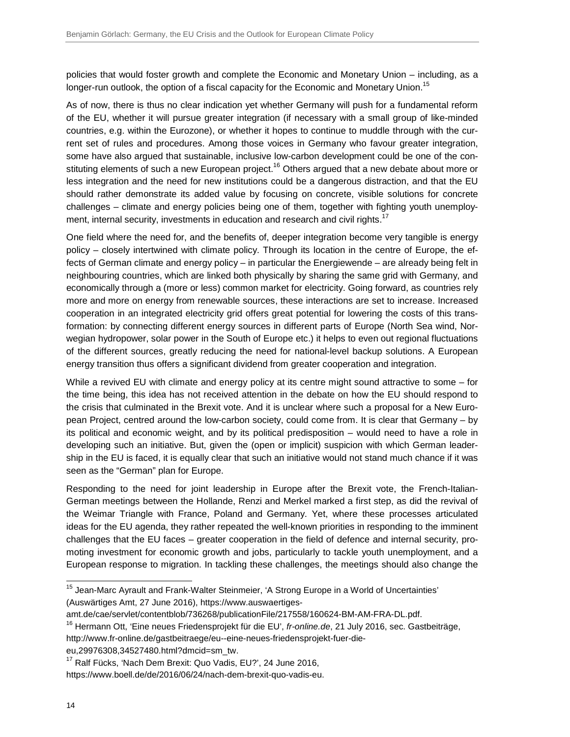policies that would foster growth and complete the Economic and Monetary Union – including, as a longer-run outlook, the option of a fiscal capacity for the Economic and Monetary Union.<sup>15</sup>

As of now, there is thus no clear indication yet whether Germany will push for a fundamental reform of the EU, whether it will pursue greater integration (if necessary with a small group of like-minded countries, e.g. within the Eurozone), or whether it hopes to continue to muddle through with the current set of rules and procedures. Among those voices in Germany who favour greater integration, some have also argued that sustainable, inclusive low-carbon development could be one of the constituting elements of such a new European project.<sup>16</sup> Others argued that a new debate about more or less integration and the need for new institutions could be a dangerous distraction, and that the EU should rather demonstrate its added value by focusing on concrete, visible solutions for concrete challenges – climate and energy policies being one of them, together with fighting youth unemployment, internal security, investments in education and research and civil rights.<sup>17</sup>

One field where the need for, and the benefits of, deeper integration become very tangible is energy policy – closely intertwined with climate policy. Through its location in the centre of Europe, the effects of German climate and energy policy – in particular the Energiewende – are already being felt in neighbouring countries, which are linked both physically by sharing the same grid with Germany, and economically through a (more or less) common market for electricity. Going forward, as countries rely more and more on energy from renewable sources, these interactions are set to increase. Increased cooperation in an integrated electricity grid offers great potential for lowering the costs of this transformation: by connecting different energy sources in different parts of Europe (North Sea wind, Norwegian hydropower, solar power in the South of Europe etc.) it helps to even out regional fluctuations of the different sources, greatly reducing the need for national-level backup solutions. A European energy transition thus offers a significant dividend from greater cooperation and integration.

While a revived EU with climate and energy policy at its centre might sound attractive to some – for the time being, this idea has not received attention in the debate on how the EU should respond to the crisis that culminated in the Brexit vote. And it is unclear where such a proposal for a New European Project, centred around the low-carbon society, could come from. It is clear that Germany – by its political and economic weight, and by its political predisposition – would need to have a role in developing such an initiative. But, given the (open or implicit) suspicion with which German leadership in the EU is faced, it is equally clear that such an initiative would not stand much chance if it was seen as the "German" plan for Europe.

Responding to the need for joint leadership in Europe after the Brexit vote, the French-Italian-German meetings between the Hollande, Renzi and Merkel marked a first step, as did the revival of the Weimar Triangle with France, Poland and Germany. Yet, where these processes articulated ideas for the EU agenda, they rather repeated the well-known priorities in responding to the imminent challenges that the EU faces – greater cooperation in the field of defence and internal security, promoting investment for economic growth and jobs, particularly to tackle youth unemployment, and a European response to migration. In tackling these challenges, the meetings should also change the

eu,29976308,34527480.html?dmcid=sm\_tw.

j

<sup>&</sup>lt;sup>15</sup> Jean-Marc Ayrault and Frank-Walter Steinmeier, 'A Strong Europe in a World of Uncertainties' (Auswärtiges Amt, 27 June 2016), https://www.auswaertiges-

amt.de/cae/servlet/contentblob/736268/publicationFile/217558/160624-BM-AM-FRA-DL.pdf.

<sup>&</sup>lt;sup>16</sup> Hermann Ott, 'Eine neues Friedensprojekt für die EU', *fr-online.de*, 21 July 2016, sec. Gastbeiträge, http://www.fr-online.de/gastbeitraege/eu--eine-neues-friedensprojekt-fuer-die-

<sup>&</sup>lt;sup>17</sup> Ralf Fücks, 'Nach Dem Brexit: Quo Vadis, EU?', 24 June 2016,

https://www.boell.de/de/2016/06/24/nach-dem-brexit-quo-vadis-eu.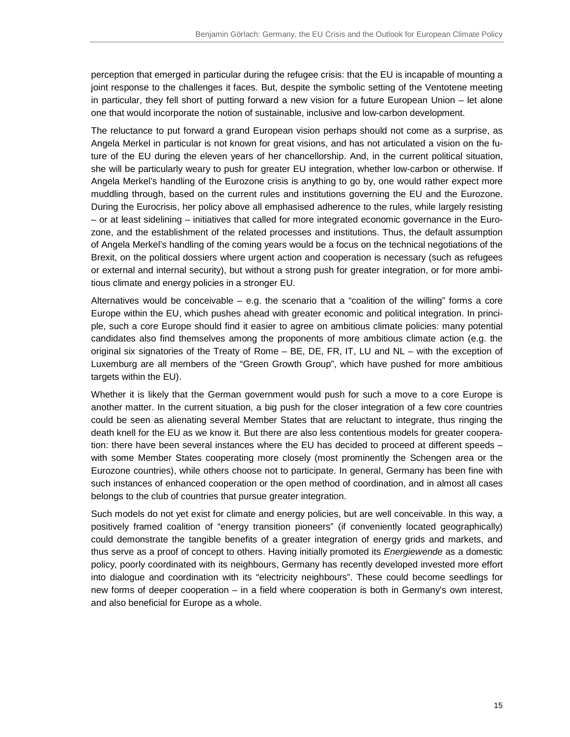perception that emerged in particular during the refugee crisis: that the EU is incapable of mounting a joint response to the challenges it faces. But, despite the symbolic setting of the Ventotene meeting in particular, they fell short of putting forward a new vision for a future European Union – let alone one that would incorporate the notion of sustainable, inclusive and low-carbon development.

The reluctance to put forward a grand European vision perhaps should not come as a surprise, as Angela Merkel in particular is not known for great visions, and has not articulated a vision on the future of the EU during the eleven years of her chancellorship. And, in the current political situation, she will be particularly weary to push for greater EU integration, whether low-carbon or otherwise. If Angela Merkel's handling of the Eurozone crisis is anything to go by, one would rather expect more muddling through, based on the current rules and institutions governing the EU and the Eurozone. During the Eurocrisis, her policy above all emphasised adherence to the rules, while largely resisting – or at least sidelining – initiatives that called for more integrated economic governance in the Eurozone, and the establishment of the related processes and institutions. Thus, the default assumption of Angela Merkel's handling of the coming years would be a focus on the technical negotiations of the Brexit, on the political dossiers where urgent action and cooperation is necessary (such as refugees or external and internal security), but without a strong push for greater integration, or for more ambitious climate and energy policies in a stronger EU.

Alternatives would be conceivable  $-$  e.g. the scenario that a "coalition of the willing" forms a core Europe within the EU, which pushes ahead with greater economic and political integration. In principle, such a core Europe should find it easier to agree on ambitious climate policies: many potential candidates also find themselves among the proponents of more ambitious climate action (e.g. the original six signatories of the Treaty of Rome – BE, DE, FR, IT, LU and NL – with the exception of Luxemburg are all members of the "Green Growth Group", which have pushed for more ambitious targets within the EU).

Whether it is likely that the German government would push for such a move to a core Europe is another matter. In the current situation, a big push for the closer integration of a few core countries could be seen as alienating several Member States that are reluctant to integrate, thus ringing the death knell for the EU as we know it. But there are also less contentious models for greater cooperation: there have been several instances where the EU has decided to proceed at different speeds – with some Member States cooperating more closely (most prominently the Schengen area or the Eurozone countries), while others choose not to participate. In general, Germany has been fine with such instances of enhanced cooperation or the open method of coordination, and in almost all cases belongs to the club of countries that pursue greater integration.

Such models do not yet exist for climate and energy policies, but are well conceivable. In this way, a positively framed coalition of "energy transition pioneers" (if conveniently located geographically) could demonstrate the tangible benefits of a greater integration of energy grids and markets, and thus serve as a proof of concept to others. Having initially promoted its Energiewende as a domestic policy, poorly coordinated with its neighbours, Germany has recently developed invested more effort into dialogue and coordination with its "electricity neighbours". These could become seedlings for new forms of deeper cooperation – in a field where cooperation is both in Germany's own interest, and also beneficial for Europe as a whole.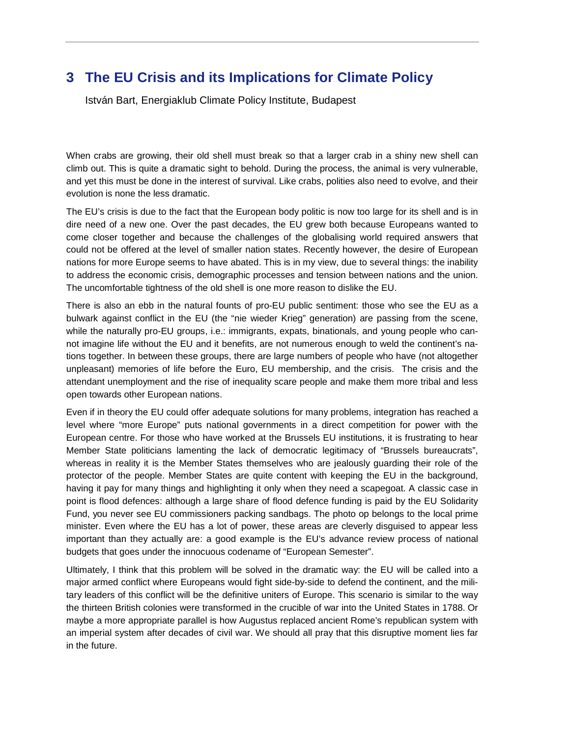## **3 The EU Crisis and its Implications for Climate Policy**

István Bart, Energiaklub Climate Policy Institute, Budapest

When crabs are growing, their old shell must break so that a larger crab in a shiny new shell can climb out. This is quite a dramatic sight to behold. During the process, the animal is very vulnerable, and yet this must be done in the interest of survival. Like crabs, polities also need to evolve, and their evolution is none the less dramatic.

The EU's crisis is due to the fact that the European body politic is now too large for its shell and is in dire need of a new one. Over the past decades, the EU grew both because Europeans wanted to come closer together and because the challenges of the globalising world required answers that could not be offered at the level of smaller nation states. Recently however, the desire of European nations for more Europe seems to have abated. This is in my view, due to several things: the inability to address the economic crisis, demographic processes and tension between nations and the union. The uncomfortable tightness of the old shell is one more reason to dislike the EU.

There is also an ebb in the natural founts of pro-EU public sentiment: those who see the EU as a bulwark against conflict in the EU (the "nie wieder Krieg" generation) are passing from the scene, while the naturally pro-EU groups, i.e.: immigrants, expats, binationals, and young people who cannot imagine life without the EU and it benefits, are not numerous enough to weld the continent's nations together. In between these groups, there are large numbers of people who have (not altogether unpleasant) memories of life before the Euro, EU membership, and the crisis. The crisis and the attendant unemployment and the rise of inequality scare people and make them more tribal and less open towards other European nations.

Even if in theory the EU could offer adequate solutions for many problems, integration has reached a level where "more Europe" puts national governments in a direct competition for power with the European centre. For those who have worked at the Brussels EU institutions, it is frustrating to hear Member State politicians lamenting the lack of democratic legitimacy of "Brussels bureaucrats", whereas in reality it is the Member States themselves who are jealously guarding their role of the protector of the people. Member States are quite content with keeping the EU in the background, having it pay for many things and highlighting it only when they need a scapegoat. A classic case in point is flood defences: although a large share of flood defence funding is paid by the EU Solidarity Fund, you never see EU commissioners packing sandbags. The photo op belongs to the local prime minister. Even where the EU has a lot of power, these areas are cleverly disguised to appear less important than they actually are: a good example is the EU's advance review process of national budgets that goes under the innocuous codename of "European Semester".

Ultimately, I think that this problem will be solved in the dramatic way: the EU will be called into a major armed conflict where Europeans would fight side-by-side to defend the continent, and the military leaders of this conflict will be the definitive uniters of Europe. This scenario is similar to the way the thirteen British colonies were transformed in the crucible of war into the United States in 1788. Or maybe a more appropriate parallel is how Augustus replaced ancient Rome's republican system with an imperial system after decades of civil war. We should all pray that this disruptive moment lies far in the future.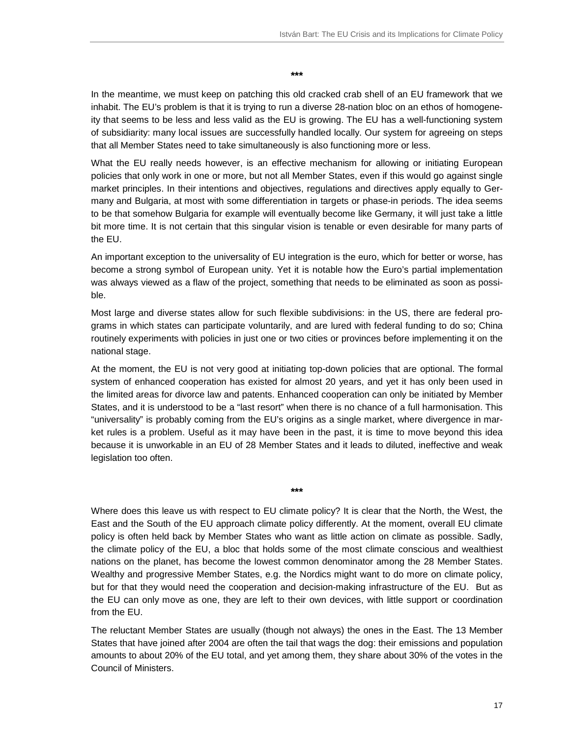#### **\*\*\***

In the meantime, we must keep on patching this old cracked crab shell of an EU framework that we inhabit. The EU's problem is that it is trying to run a diverse 28-nation bloc on an ethos of homogeneity that seems to be less and less valid as the EU is growing. The EU has a well-functioning system of subsidiarity: many local issues are successfully handled locally. Our system for agreeing on steps that all Member States need to take simultaneously is also functioning more or less.

What the EU really needs however, is an effective mechanism for allowing or initiating European policies that only work in one or more, but not all Member States, even if this would go against single market principles. In their intentions and objectives, regulations and directives apply equally to Germany and Bulgaria, at most with some differentiation in targets or phase-in periods. The idea seems to be that somehow Bulgaria for example will eventually become like Germany, it will just take a little bit more time. It is not certain that this singular vision is tenable or even desirable for many parts of the EU.

An important exception to the universality of EU integration is the euro, which for better or worse, has become a strong symbol of European unity. Yet it is notable how the Euro's partial implementation was always viewed as a flaw of the project, something that needs to be eliminated as soon as possible.

Most large and diverse states allow for such flexible subdivisions: in the US, there are federal programs in which states can participate voluntarily, and are lured with federal funding to do so; China routinely experiments with policies in just one or two cities or provinces before implementing it on the national stage.

At the moment, the EU is not very good at initiating top-down policies that are optional. The formal system of enhanced cooperation has existed for almost 20 years, and yet it has only been used in the limited areas for divorce law and patents. Enhanced cooperation can only be initiated by Member States, and it is understood to be a "last resort" when there is no chance of a full harmonisation. This "universality" is probably coming from the EU's origins as a single market, where divergence in market rules is a problem. Useful as it may have been in the past, it is time to move beyond this idea because it is unworkable in an EU of 28 Member States and it leads to diluted, ineffective and weak legislation too often.

Where does this leave us with respect to EU climate policy? It is clear that the North, the West, the East and the South of the EU approach climate policy differently. At the moment, overall EU climate policy is often held back by Member States who want as little action on climate as possible. Sadly, the climate policy of the EU, a bloc that holds some of the most climate conscious and wealthiest nations on the planet, has become the lowest common denominator among the 28 Member States. Wealthy and progressive Member States, e.g. the Nordics might want to do more on climate policy, but for that they would need the cooperation and decision-making infrastructure of the EU. But as the EU can only move as one, they are left to their own devices, with little support or coordination from the EU.

**\*\*\*** 

The reluctant Member States are usually (though not always) the ones in the East. The 13 Member States that have joined after 2004 are often the tail that wags the dog: their emissions and population amounts to about 20% of the EU total, and yet among them, they share about 30% of the votes in the Council of Ministers.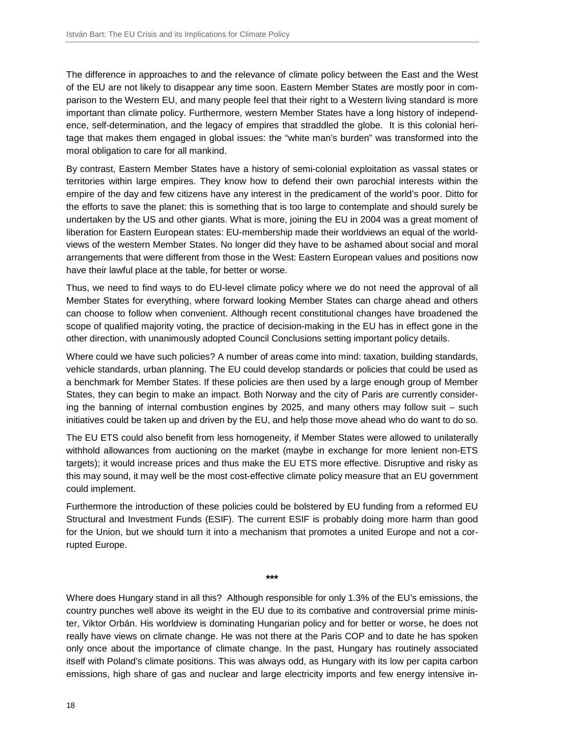The difference in approaches to and the relevance of climate policy between the East and the West of the EU are not likely to disappear any time soon. Eastern Member States are mostly poor in comparison to the Western EU, and many people feel that their right to a Western living standard is more important than climate policy. Furthermore, western Member States have a long history of independence, self-determination, and the legacy of empires that straddled the globe. It is this colonial heritage that makes them engaged in global issues: the "white man's burden" was transformed into the moral obligation to care for all mankind.

By contrast, Eastern Member States have a history of semi-colonial exploitation as vassal states or territories within large empires. They know how to defend their own parochial interests within the empire of the day and few citizens have any interest in the predicament of the world's poor. Ditto for the efforts to save the planet: this is something that is too large to contemplate and should surely be undertaken by the US and other giants. What is more, joining the EU in 2004 was a great moment of liberation for Eastern European states: EU-membership made their worldviews an equal of the worldviews of the western Member States. No longer did they have to be ashamed about social and moral arrangements that were different from those in the West: Eastern European values and positions now have their lawful place at the table, for better or worse.

Thus, we need to find ways to do EU-level climate policy where we do not need the approval of all Member States for everything, where forward looking Member States can charge ahead and others can choose to follow when convenient. Although recent constitutional changes have broadened the scope of qualified majority voting, the practice of decision-making in the EU has in effect gone in the other direction, with unanimously adopted Council Conclusions setting important policy details.

Where could we have such policies? A number of areas come into mind: taxation, building standards, vehicle standards, urban planning. The EU could develop standards or policies that could be used as a benchmark for Member States. If these policies are then used by a large enough group of Member States, they can begin to make an impact. Both Norway and the city of Paris are currently considering the banning of internal combustion engines by 2025, and many others may follow suit – such initiatives could be taken up and driven by the EU, and help those move ahead who do want to do so.

The EU ETS could also benefit from less homogeneity, if Member States were allowed to unilaterally withhold allowances from auctioning on the market (maybe in exchange for more lenient non-ETS targets); it would increase prices and thus make the EU ETS more effective. Disruptive and risky as this may sound, it may well be the most cost-effective climate policy measure that an EU government could implement.

Furthermore the introduction of these policies could be bolstered by EU funding from a reformed EU Structural and Investment Funds (ESIF). The current ESIF is probably doing more harm than good for the Union, but we should turn it into a mechanism that promotes a united Europe and not a corrupted Europe.

**\*\*\*** 

Where does Hungary stand in all this? Although responsible for only 1.3% of the EU's emissions, the country punches well above its weight in the EU due to its combative and controversial prime minister, Viktor Orbán. His worldview is dominating Hungarian policy and for better or worse, he does not really have views on climate change. He was not there at the Paris COP and to date he has spoken only once about the importance of climate change. In the past, Hungary has routinely associated itself with Poland's climate positions. This was always odd, as Hungary with its low per capita carbon emissions, high share of gas and nuclear and large electricity imports and few energy intensive in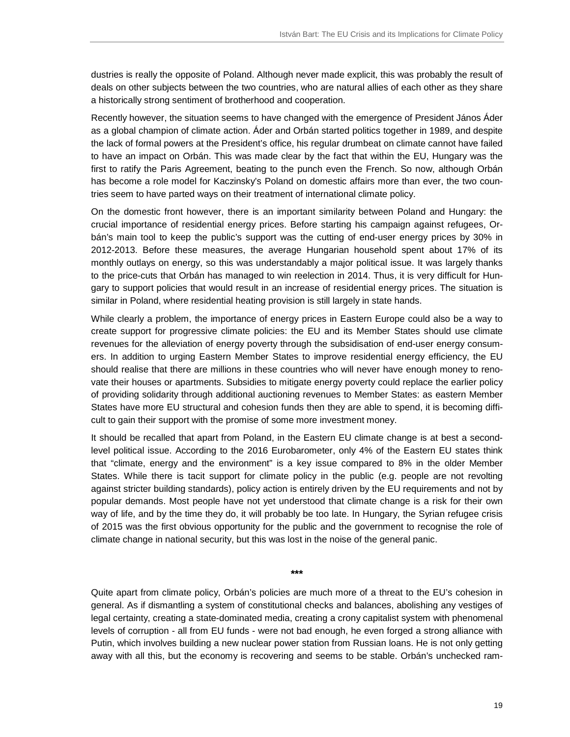dustries is really the opposite of Poland. Although never made explicit, this was probably the result of deals on other subjects between the two countries, who are natural allies of each other as they share a historically strong sentiment of brotherhood and cooperation.

Recently however, the situation seems to have changed with the emergence of President János Áder as a global champion of climate action. Áder and Orbán started politics together in 1989, and despite the lack of formal powers at the President's office, his regular drumbeat on climate cannot have failed to have an impact on Orbán. This was made clear by the fact that within the EU, Hungary was the first to ratify the Paris Agreement, beating to the punch even the French. So now, although Orbán has become a role model for Kaczinsky's Poland on domestic affairs more than ever, the two countries seem to have parted ways on their treatment of international climate policy.

On the domestic front however, there is an important similarity between Poland and Hungary: the crucial importance of residential energy prices. Before starting his campaign against refugees, Orbán's main tool to keep the public's support was the cutting of end-user energy prices by 30% in 2012-2013. Before these measures, the average Hungarian household spent about 17% of its monthly outlays on energy, so this was understandably a major political issue. It was largely thanks to the price-cuts that Orbán has managed to win reelection in 2014. Thus, it is very difficult for Hungary to support policies that would result in an increase of residential energy prices. The situation is similar in Poland, where residential heating provision is still largely in state hands.

While clearly a problem, the importance of energy prices in Eastern Europe could also be a way to create support for progressive climate policies: the EU and its Member States should use climate revenues for the alleviation of energy poverty through the subsidisation of end-user energy consumers. In addition to urging Eastern Member States to improve residential energy efficiency, the EU should realise that there are millions in these countries who will never have enough money to renovate their houses or apartments. Subsidies to mitigate energy poverty could replace the earlier policy of providing solidarity through additional auctioning revenues to Member States: as eastern Member States have more EU structural and cohesion funds then they are able to spend, it is becoming difficult to gain their support with the promise of some more investment money.

It should be recalled that apart from Poland, in the Eastern EU climate change is at best a secondlevel political issue. According to the 2016 Eurobarometer, only 4% of the Eastern EU states think that "climate, energy and the environment" is a key issue compared to 8% in the older Member States. While there is tacit support for climate policy in the public (e.g. people are not revolting against stricter building standards), policy action is entirely driven by the EU requirements and not by popular demands. Most people have not yet understood that climate change is a risk for their own way of life, and by the time they do, it will probably be too late. In Hungary, the Syrian refugee crisis of 2015 was the first obvious opportunity for the public and the government to recognise the role of climate change in national security, but this was lost in the noise of the general panic.

**\*\*\*** 

Quite apart from climate policy, Orbán's policies are much more of a threat to the EU's cohesion in general. As if dismantling a system of constitutional checks and balances, abolishing any vestiges of legal certainty, creating a state-dominated media, creating a crony capitalist system with phenomenal levels of corruption - all from EU funds - were not bad enough, he even forged a strong alliance with Putin, which involves building a new nuclear power station from Russian loans. He is not only getting away with all this, but the economy is recovering and seems to be stable. Orbán's unchecked ram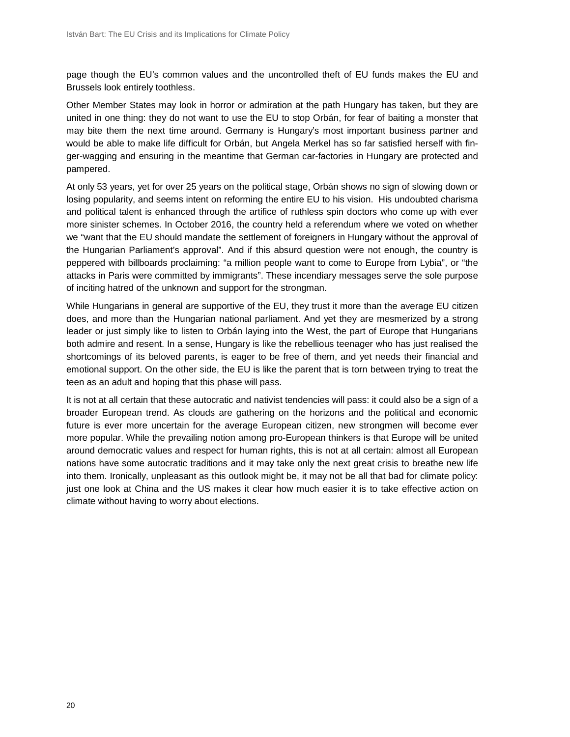page though the EU's common values and the uncontrolled theft of EU funds makes the EU and Brussels look entirely toothless.

Other Member States may look in horror or admiration at the path Hungary has taken, but they are united in one thing: they do not want to use the EU to stop Orbán, for fear of baiting a monster that may bite them the next time around. Germany is Hungary's most important business partner and would be able to make life difficult for Orbán, but Angela Merkel has so far satisfied herself with finger-wagging and ensuring in the meantime that German car-factories in Hungary are protected and pampered.

At only 53 years, yet for over 25 years on the political stage, Orbán shows no sign of slowing down or losing popularity, and seems intent on reforming the entire EU to his vision. His undoubted charisma and political talent is enhanced through the artifice of ruthless spin doctors who come up with ever more sinister schemes. In October 2016, the country held a referendum where we voted on whether we "want that the EU should mandate the settlement of foreigners in Hungary without the approval of the Hungarian Parliament's approval". And if this absurd question were not enough, the country is peppered with billboards proclaiming: "a million people want to come to Europe from Lybia", or "the attacks in Paris were committed by immigrants". These incendiary messages serve the sole purpose of inciting hatred of the unknown and support for the strongman.

While Hungarians in general are supportive of the EU, they trust it more than the average EU citizen does, and more than the Hungarian national parliament. And yet they are mesmerized by a strong leader or just simply like to listen to Orbán laying into the West, the part of Europe that Hungarians both admire and resent. In a sense, Hungary is like the rebellious teenager who has just realised the shortcomings of its beloved parents, is eager to be free of them, and yet needs their financial and emotional support. On the other side, the EU is like the parent that is torn between trying to treat the teen as an adult and hoping that this phase will pass.

It is not at all certain that these autocratic and nativist tendencies will pass: it could also be a sign of a broader European trend. As clouds are gathering on the horizons and the political and economic future is ever more uncertain for the average European citizen, new strongmen will become ever more popular. While the prevailing notion among pro-European thinkers is that Europe will be united around democratic values and respect for human rights, this is not at all certain: almost all European nations have some autocratic traditions and it may take only the next great crisis to breathe new life into them. Ironically, unpleasant as this outlook might be, it may not be all that bad for climate policy: just one look at China and the US makes it clear how much easier it is to take effective action on climate without having to worry about elections.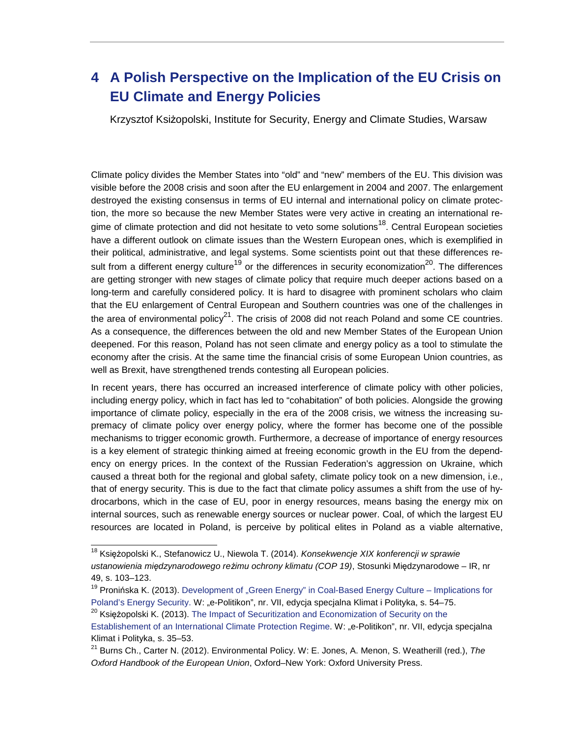## **4 A Polish Perspective on the Implication of the EU Crisis on EU Climate and Energy Policies**

Krzysztof Ksiżopolski, Institute for Security, Energy and Climate Studies, Warsaw

Climate policy divides the Member States into "old" and "new" members of the EU. This division was visible before the 2008 crisis and soon after the EU enlargement in 2004 and 2007. The enlargement destroyed the existing consensus in terms of EU internal and international policy on climate protection, the more so because the new Member States were very active in creating an international regime of climate protection and did not hesitate to veto some solutions<sup>18</sup>. Central European societies have a different outlook on climate issues than the Western European ones, which is exemplified in their political, administrative, and legal systems. Some scientists point out that these differences result from a different energy culture<sup>19</sup> or the differences in security economization<sup>20</sup>. The differences are getting stronger with new stages of climate policy that require much deeper actions based on a long-term and carefully considered policy. It is hard to disagree with prominent scholars who claim that the EU enlargement of Central European and Southern countries was one of the challenges in the area of environmental policy<sup>21</sup>. The crisis of 2008 did not reach Poland and some CE countries. As a consequence, the differences between the old and new Member States of the European Union deepened. For this reason, Poland has not seen climate and energy policy as a tool to stimulate the economy after the crisis. At the same time the financial crisis of some European Union countries, as well as Brexit, have strengthened trends contesting all European policies.

In recent years, there has occurred an increased interference of climate policy with other policies, including energy policy, which in fact has led to "cohabitation" of both policies. Alongside the growing importance of climate policy, especially in the era of the 2008 crisis, we witness the increasing supremacy of climate policy over energy policy, where the former has become one of the possible mechanisms to trigger economic growth. Furthermore, a decrease of importance of energy resources is a key element of strategic thinking aimed at freeing economic growth in the EU from the dependency on energy prices. In the context of the Russian Federation's aggression on Ukraine, which caused a threat both for the regional and global safety, climate policy took on a new dimension, i.e., that of energy security. This is due to the fact that climate policy assumes a shift from the use of hydrocarbons, which in the case of EU, poor in energy resources, means basing the energy mix on internal sources, such as renewable energy sources or nuclear power. Coal, of which the largest EU resources are located in Poland, is perceive by political elites in Poland as a viable alternative,

l

<sup>&</sup>lt;sup>18</sup> Księżopolski K., Stefanowicz U., Niewola T. (2014). *Konsekwencje XIX konferencji w sprawie* ustanowienia mi*ę*dzynarodowego re*ż*imu ochrony klimatu (COP 19), Stosunki Międzynarodowe – IR, nr 49, s. 103–123.

<sup>&</sup>lt;sup>19</sup> Pronińska K. (2013). Development of "Green Energy" in Coal-Based Energy Culture – Implications for Poland's Energy Security. W: "e-Politikon", nr. VII, edycja specjalna Klimat i Polityka, s. 54–75.

<sup>&</sup>lt;sup>20</sup> Księżopolski K. (2013). The Impact of Securitization and Economization of Security on the

Establishement of an International Climate Protection Regime. W: "e-Politikon", nr. VII, edycja specjalna Klimat i Polityka, s. 35–53.

 $21$  Burns Ch., Carter N. (2012). Environmental Policy. W: E. Jones, A. Menon, S. Weatherill (red.), The Oxford Handbook of the European Union, Oxford–New York: Oxford University Press.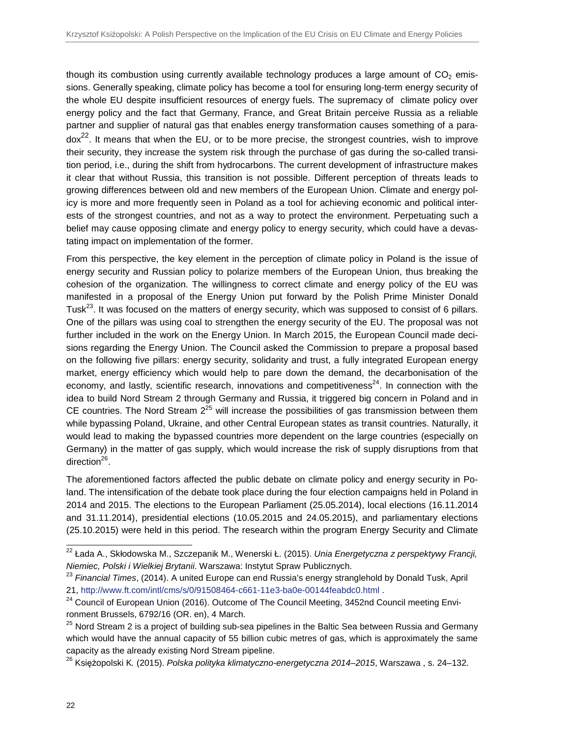though its combustion using currently available technology produces a large amount of  $CO<sub>2</sub>$  emissions. Generally speaking, climate policy has become a tool for ensuring long-term energy security of the whole EU despite insufficient resources of energy fuels. The supremacy of climate policy over energy policy and the fact that Germany, France, and Great Britain perceive Russia as a reliable partner and supplier of natural gas that enables energy transformation causes something of a para $d\alpha^{22}$ . It means that when the EU, or to be more precise, the strongest countries, wish to improve their security, they increase the system risk through the purchase of gas during the so-called transition period, i.e., during the shift from hydrocarbons. The current development of infrastructure makes it clear that without Russia, this transition is not possible. Different perception of threats leads to growing differences between old and new members of the European Union. Climate and energy policy is more and more frequently seen in Poland as a tool for achieving economic and political interests of the strongest countries, and not as a way to protect the environment. Perpetuating such a belief may cause opposing climate and energy policy to energy security, which could have a devastating impact on implementation of the former.

From this perspective, the key element in the perception of climate policy in Poland is the issue of energy security and Russian policy to polarize members of the European Union, thus breaking the cohesion of the organization. The willingness to correct climate and energy policy of the EU was manifested in a proposal of the Energy Union put forward by the Polish Prime Minister Donald Tusk<sup>23</sup>. It was focused on the matters of energy security, which was supposed to consist of 6 pillars. One of the pillars was using coal to strengthen the energy security of the EU. The proposal was not further included in the work on the Energy Union. In March 2015, the European Council made decisions regarding the Energy Union. The Council asked the Commission to prepare a proposal based on the following five pillars: energy security, solidarity and trust, a fully integrated European energy market, energy efficiency which would help to pare down the demand, the decarbonisation of the economy, and lastly, scientific research, innovations and competitiveness<sup>24</sup>. In connection with the idea to build Nord Stream 2 through Germany and Russia, it triggered big concern in Poland and in CE countries. The Nord Stream  $2^{25}$  will increase the possibilities of gas transmission between them while bypassing Poland, Ukraine, and other Central European states as transit countries. Naturally, it would lead to making the bypassed countries more dependent on the large countries (especially on Germany) in the matter of gas supply, which would increase the risk of supply disruptions from that direction<sup>26</sup>.

The aforementioned factors affected the public debate on climate policy and energy security in Poland. The intensification of the debate took place during the four election campaigns held in Poland in 2014 and 2015. The elections to the European Parliament (25.05.2014), local elections (16.11.2014 and 31.11.2014), presidential elections (10.05.2015 and 24.05.2015), and parliamentary elections (25.10.2015) were held in this period. The research within the program Energy Security and Climate

l <sup>22</sup> Łada A., Skłodowska M., Szczepanik M., Wenerski Ł. (2015). *Unia Energetyczna z perspektywy Francji,* Niemiec, Polski i Wielkiej Brytanii. Warszawa: Instytut Spraw Publicznych.

<sup>&</sup>lt;sup>23</sup> Financial Times, (2014). A united Europe can end Russia's energy stranglehold by Donald Tusk, April 21, http://www.ft.com/intl/cms/s/0/91508464-c661-11e3-ba0e-00144feabdc0.html .

 $24$  Council of European Union (2016). Outcome of The Council Meeting, 3452nd Council meeting Environment Brussels, 6792/16 (OR. en), 4 March.

<sup>&</sup>lt;sup>25</sup> Nord Stream 2 is a project of building sub-sea pipelines in the Baltic Sea between Russia and Germany which would have the annual capacity of 55 billion cubic metres of gas, which is approximately the same capacity as the already existing Nord Stream pipeline.

<sup>&</sup>lt;sup>26</sup> Księżopolski K. (2015). *Polska polityka klimatyczno-energetyczna 2014–2015*, Warszawa , s. 24–132.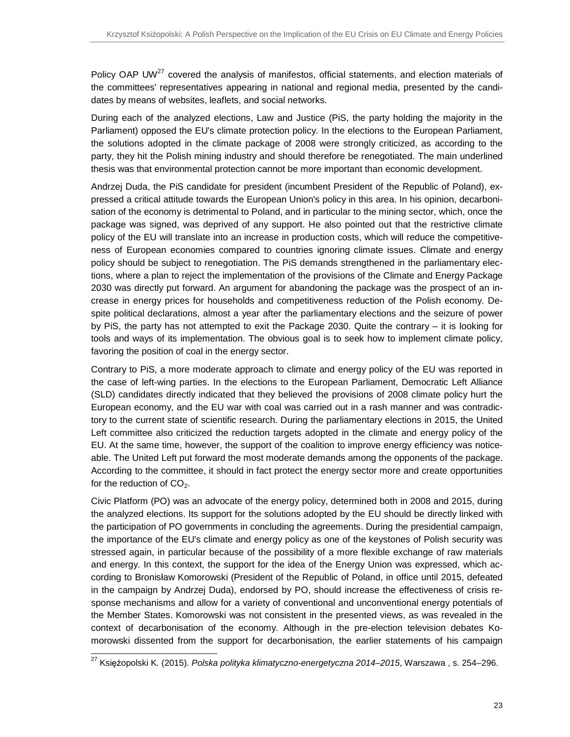Policy OAP UW<sup>27</sup> covered the analysis of manifestos, official statements, and election materials of the committees' representatives appearing in national and regional media, presented by the candidates by means of websites, leaflets, and social networks.

During each of the analyzed elections, Law and Justice (PiS, the party holding the majority in the Parliament) opposed the EU's climate protection policy. In the elections to the European Parliament, the solutions adopted in the climate package of 2008 were strongly criticized, as according to the party, they hit the Polish mining industry and should therefore be renegotiated. The main underlined thesis was that environmental protection cannot be more important than economic development.

Andrzej Duda, the PiS candidate for president (incumbent President of the Republic of Poland), expressed a critical attitude towards the European Union's policy in this area. In his opinion, decarbonisation of the economy is detrimental to Poland, and in particular to the mining sector, which, once the package was signed, was deprived of any support. He also pointed out that the restrictive climate policy of the EU will translate into an increase in production costs, which will reduce the competitiveness of European economies compared to countries ignoring climate issues. Climate and energy policy should be subject to renegotiation. The PiS demands strengthened in the parliamentary elections, where a plan to reject the implementation of the provisions of the Climate and Energy Package 2030 was directly put forward. An argument for abandoning the package was the prospect of an increase in energy prices for households and competitiveness reduction of the Polish economy. Despite political declarations, almost a year after the parliamentary elections and the seizure of power by PiS, the party has not attempted to exit the Package 2030. Quite the contrary – it is looking for tools and ways of its implementation. The obvious goal is to seek how to implement climate policy, favoring the position of coal in the energy sector.

Contrary to PiS, a more moderate approach to climate and energy policy of the EU was reported in the case of left-wing parties. In the elections to the European Parliament, Democratic Left Alliance (SLD) candidates directly indicated that they believed the provisions of 2008 climate policy hurt the European economy, and the EU war with coal was carried out in a rash manner and was contradictory to the current state of scientific research. During the parliamentary elections in 2015, the United Left committee also criticized the reduction targets adopted in the climate and energy policy of the EU. At the same time, however, the support of the coalition to improve energy efficiency was noticeable. The United Left put forward the most moderate demands among the opponents of the package. According to the committee, it should in fact protect the energy sector more and create opportunities for the reduction of  $CO<sub>2</sub>$ .

Civic Platform (PO) was an advocate of the energy policy, determined both in 2008 and 2015, during the analyzed elections. Its support for the solutions adopted by the EU should be directly linked with the participation of PO governments in concluding the agreements. During the presidential campaign, the importance of the EU's climate and energy policy as one of the keystones of Polish security was stressed again, in particular because of the possibility of a more flexible exchange of raw materials and energy. In this context, the support for the idea of the Energy Union was expressed, which according to Bronisław Komorowski (President of the Republic of Poland, in office until 2015, defeated in the campaign by Andrzej Duda), endorsed by PO, should increase the effectiveness of crisis response mechanisms and allow for a variety of conventional and unconventional energy potentials of the Member States. Komorowski was not consistent in the presented views, as was revealed in the context of decarbonisation of the economy. Although in the pre-election television debates Komorowski dissented from the support for decarbonisation, the earlier statements of his campaign

 $\overline{a}$ 

<sup>&</sup>lt;sup>27</sup> Księżopolski K. (2015). *Polska polityka klimatyczno-energetyczna* 2*014–*2*015*, Warszawa , s. 254–296.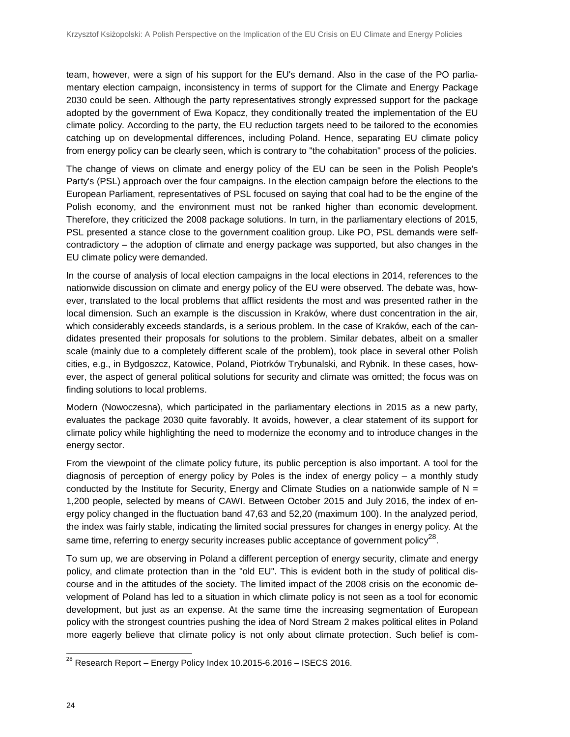team, however, were a sign of his support for the EU's demand. Also in the case of the PO parliamentary election campaign, inconsistency in terms of support for the Climate and Energy Package 2030 could be seen. Although the party representatives strongly expressed support for the package adopted by the government of Ewa Kopacz, they conditionally treated the implementation of the EU climate policy. According to the party, the EU reduction targets need to be tailored to the economies catching up on developmental differences, including Poland. Hence, separating EU climate policy from energy policy can be clearly seen, which is contrary to "the cohabitation" process of the policies.

The change of views on climate and energy policy of the EU can be seen in the Polish People's Party's (PSL) approach over the four campaigns. In the election campaign before the elections to the European Parliament, representatives of PSL focused on saying that coal had to be the engine of the Polish economy, and the environment must not be ranked higher than economic development. Therefore, they criticized the 2008 package solutions. In turn, in the parliamentary elections of 2015, PSL presented a stance close to the government coalition group. Like PO, PSL demands were selfcontradictory – the adoption of climate and energy package was supported, but also changes in the EU climate policy were demanded.

In the course of analysis of local election campaigns in the local elections in 2014, references to the nationwide discussion on climate and energy policy of the EU were observed. The debate was, however, translated to the local problems that afflict residents the most and was presented rather in the local dimension. Such an example is the discussion in Kraków, where dust concentration in the air, which considerably exceeds standards, is a serious problem. In the case of Kraków, each of the candidates presented their proposals for solutions to the problem. Similar debates, albeit on a smaller scale (mainly due to a completely different scale of the problem), took place in several other Polish cities, e.g., in Bydgoszcz, Katowice, Poland, Piotrków Trybunalski, and Rybnik. In these cases, however, the aspect of general political solutions for security and climate was omitted; the focus was on finding solutions to local problems.

Modern (Nowoczesna), which participated in the parliamentary elections in 2015 as a new party, evaluates the package 2030 quite favorably. It avoids, however, a clear statement of its support for climate policy while highlighting the need to modernize the economy and to introduce changes in the energy sector.

From the viewpoint of the climate policy future, its public perception is also important. A tool for the diagnosis of perception of energy policy by Poles is the index of energy policy - a monthly study conducted by the Institute for Security, Energy and Climate Studies on a nationwide sample of  $N =$ 1,200 people, selected by means of CAWI. Between October 2015 and July 2016, the index of energy policy changed in the fluctuation band 47,63 and 52,20 (maximum 100). In the analyzed period, the index was fairly stable, indicating the limited social pressures for changes in energy policy. At the same time, referring to energy security increases public acceptance of government policy<sup>28</sup>.

To sum up, we are observing in Poland a different perception of energy security, climate and energy policy, and climate protection than in the "old EU". This is evident both in the study of political discourse and in the attitudes of the society. The limited impact of the 2008 crisis on the economic development of Poland has led to a situation in which climate policy is not seen as a tool for economic development, but just as an expense. At the same time the increasing segmentation of European policy with the strongest countries pushing the idea of Nord Stream 2 makes political elites in Poland more eagerly believe that climate policy is not only about climate protection. Such belief is com-

 $\overline{a}$ 

 $^{28}$  Research Report – Energy Policy Index 10.2015-6.2016 – ISECS 2016.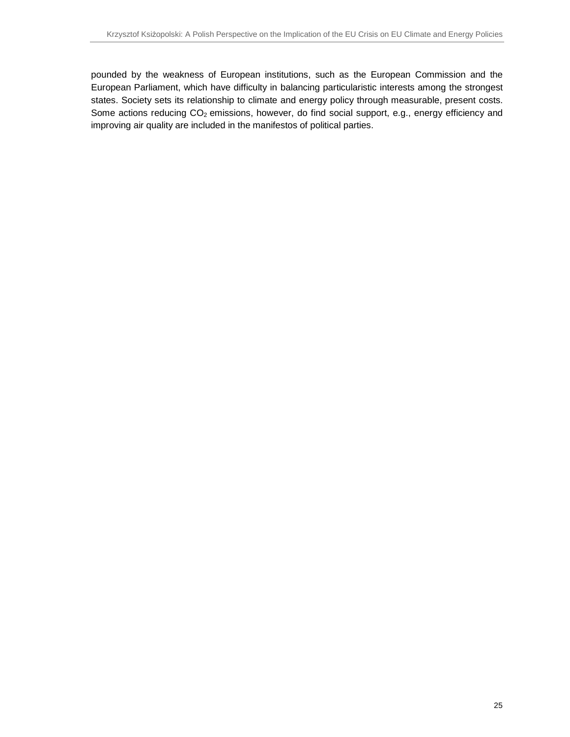pounded by the weakness of European institutions, such as the European Commission and the European Parliament, which have difficulty in balancing particularistic interests among the strongest states. Society sets its relationship to climate and energy policy through measurable, present costs. Some actions reducing  $CO<sub>2</sub>$  emissions, however, do find social support, e.g., energy efficiency and improving air quality are included in the manifestos of political parties.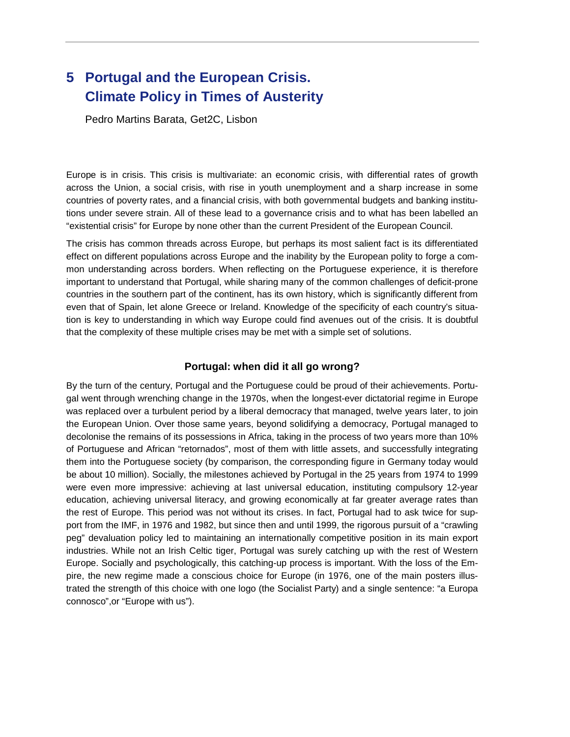## **5 Portugal and the European Crisis. Climate Policy in Times of Austerity**

Pedro Martins Barata, Get2C, Lisbon

Europe is in crisis. This crisis is multivariate: an economic crisis, with differential rates of growth across the Union, a social crisis, with rise in youth unemployment and a sharp increase in some countries of poverty rates, and a financial crisis, with both governmental budgets and banking institutions under severe strain. All of these lead to a governance crisis and to what has been labelled an "existential crisis" for Europe by none other than the current President of the European Council.

The crisis has common threads across Europe, but perhaps its most salient fact is its differentiated effect on different populations across Europe and the inability by the European polity to forge a common understanding across borders. When reflecting on the Portuguese experience, it is therefore important to understand that Portugal, while sharing many of the common challenges of deficit-prone countries in the southern part of the continent, has its own history, which is significantly different from even that of Spain, let alone Greece or Ireland. Knowledge of the specificity of each country's situation is key to understanding in which way Europe could find avenues out of the crisis. It is doubtful that the complexity of these multiple crises may be met with a simple set of solutions.

#### **Portugal: when did it all go wrong?**

By the turn of the century, Portugal and the Portuguese could be proud of their achievements. Portugal went through wrenching change in the 1970s, when the longest-ever dictatorial regime in Europe was replaced over a turbulent period by a liberal democracy that managed, twelve years later, to join the European Union. Over those same years, beyond solidifying a democracy, Portugal managed to decolonise the remains of its possessions in Africa, taking in the process of two years more than 10% of Portuguese and African "retornados", most of them with little assets, and successfully integrating them into the Portuguese society (by comparison, the corresponding figure in Germany today would be about 10 million). Socially, the milestones achieved by Portugal in the 25 years from 1974 to 1999 were even more impressive: achieving at last universal education, instituting compulsory 12-year education, achieving universal literacy, and growing economically at far greater average rates than the rest of Europe. This period was not without its crises. In fact, Portugal had to ask twice for support from the IMF, in 1976 and 1982, but since then and until 1999, the rigorous pursuit of a "crawling peg" devaluation policy led to maintaining an internationally competitive position in its main export industries. While not an Irish Celtic tiger, Portugal was surely catching up with the rest of Western Europe. Socially and psychologically, this catching-up process is important. With the loss of the Empire, the new regime made a conscious choice for Europe (in 1976, one of the main posters illustrated the strength of this choice with one logo (the Socialist Party) and a single sentence: "a Europa connosco",or "Europe with us").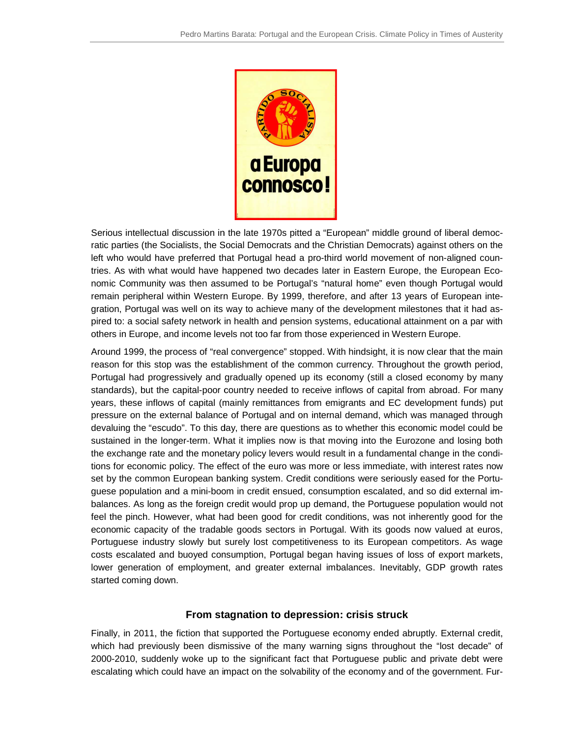

Serious intellectual discussion in the late 1970s pitted a "European" middle ground of liberal democratic parties (the Socialists, the Social Democrats and the Christian Democrats) against others on the ratic parties (the Socialists, the Social Democrats and the Christian Democrats) against others on the<br>left who would have preferred that Portugal head a pro-third world movement of non-aligned countries. As with what would have happened two decades later in Eastern Europe, the European Economic Community was then assumed to be Portugal's "natural home" even though Portugal would nomic Community was then assumed to be Portugal's "natural home" even though Portugal would<br>remain peripheral within Western Europe. By 1999, therefore, and after 13 years of European integration, Portugal was well on its way to achieve many of the development milestones that it had aspired to: a social safety network in health and pension systems, educational attainment on a par with others in Europe, and income levels not too far from those experienced in Western Europe. with what would have happened two decades later in Eastern Europe, the European Eco-<br>bmmunity was then assumed to be Portugal's "natural home" even though Portugal would<br>eripheral within Western Europe. By 1999, therefore,

Around 1999, the process of "real convergence" stopped. With hindsight, it is now clear that the main reason for this stop was the establishment of the common currency. Throughout the growth period, Portugal had progressively and gradually opened up its economy (still a closed economy by many standards), but the capital-poor country needed to receive inflows of capital from abroad. For many years, these inflows of capital (mainly remittances from emigrants and EC development funds) put pressure on the external balance of Portugal and on internal demand, which was managed through devaluing the "escudo". To this day, there are questions as to whether this economic model could be sustained in the longer-term. What it implies now is that moving into the Eurozone and losing both the exchange rate and the monetary policy levers would result in a fundamental change in the cond tions for economic policy. The effect of the euro was more or less immediate, with interest rates now tions for economic policy. The effect of the euro was more or less immediate, with interest rates now<br>set by the common European banking system. Credit conditions were seriously eased for the Portuguese population and a mini-boom in credit ensued, consumption escalated, and so did external i imbalances. As long as the foreign credit would prop up demand, the Portuguese population would not feel the pinch. However, what had been good for credit conditions, was not inherently good for the economic capacity of the tradable goods sectors in Portugal. With its goods now valued at euros, Portuguese industry slowly but surely lost competitiveness to its European competitors. As wage costs escalated and buoyed consumption, Portugal began having issues of loss of export markets, costs escalated and buoyed consumption, Portugal began having issues of loss of export markets,<br>lower generation of employment, and greater external imbalances. Inevitably, GDP growth rates started coming down. had progressively and gradually opened up its economy (still a closed economy by many<br>s), but the capital-poor country needed to receive inflows of capital from abroad. For many<br>see inflows of capital (mainly remittances f sustained in the longer-term. What it implies now is that moving into the Eurozone and losing both<br>the exchange rate and the monetary policy levers would result in a fundamental change in the condi-<br>tions for economic poli ese population and a mini-boom in credit ensued, consumption escalated, and so did external im-<br>lances. As long as the foreign credit would prop up demand, the Portuguese population would not<br>el the pinch. However, what ha Pedio Martin Benis: Pougal and the Stropsen Crisis. Climate Policy in Times of Austerity<br>
The Benisian decreases the Stropsen Crisis. Climate Policy in Times of Austerity<br>
As which which olicines the Stropsen Crisis. As wi others in Europe, and income levels not too far from those experienced in Western Europe.<br>Around 1999, the process of "real convergence" stopped. With hindsight, it is now clear that the main<br>reason for this stop was the e nces. As long as the foreign credit would prop up demand, the Portuguese population would not<br>the pinch. However, what had been good for credit conditions, was not inherently good for the<br>iomic capacity of the tradable goo

#### **From stagnation to depression: crisis struck**

Finally, in 2011, the fiction that supported the Portuguese economy ended abruptly. External credit, which had previously been dismissive of the many warning signs throughout the "lost decade" of 2000-2010, suddenly woke up to the significant fact that Portuguese public and private debt were escalating which could have an impact on the solvability of the economy and of the government. Furgeneration of employment, and greater external imbalances. Inevitably, GDP growth rates<br>d coming down.<br>**From stagnation to depression: crisis struck**<br>y, in 2011, the fiction that supported the Portuguese economy ended abru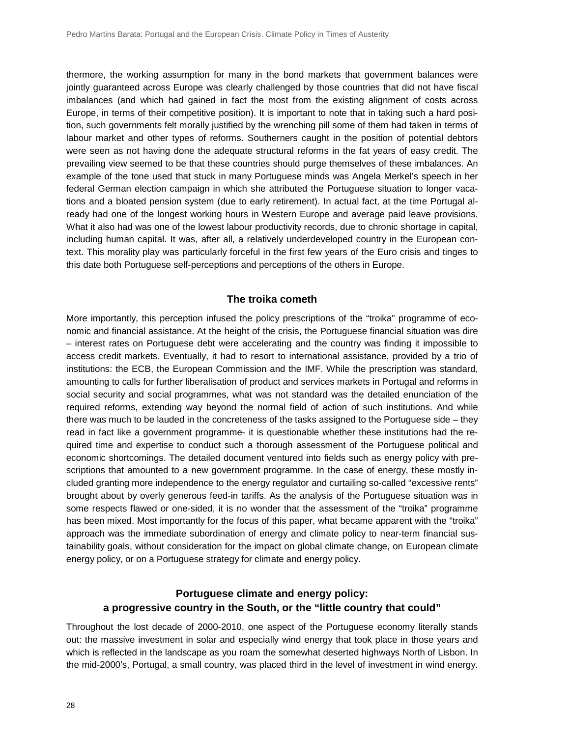thermore, the working assumption for many in the bond markets that government balances were jointly guaranteed across Europe was clearly challenged by those countries that did not have fiscal imbalances (and which had gained in fact the most from the existing alignment of costs across Europe, in terms of their competitive position). It is important to note that in taking such a hard position, such governments felt morally justified by the wrenching pill some of them had taken in terms of labour market and other types of reforms. Southerners caught in the position of potential debtors were seen as not having done the adequate structural reforms in the fat years of easy credit. The prevailing view seemed to be that these countries should purge themselves of these imbalances. An example of the tone used that stuck in many Portuguese minds was Angela Merkel's speech in her federal German election campaign in which she attributed the Portuguese situation to longer vacations and a bloated pension system (due to early retirement). In actual fact, at the time Portugal already had one of the longest working hours in Western Europe and average paid leave provisions. What it also had was one of the lowest labour productivity records, due to chronic shortage in capital, including human capital. It was, after all, a relatively underdeveloped country in the European context. This morality play was particularly forceful in the first few years of the Euro crisis and tinges to this date both Portuguese self-perceptions and perceptions of the others in Europe.

#### **The troika cometh**

More importantly, this perception infused the policy prescriptions of the "troika" programme of economic and financial assistance. At the height of the crisis, the Portuguese financial situation was dire – interest rates on Portuguese debt were accelerating and the country was finding it impossible to access credit markets. Eventually, it had to resort to international assistance, provided by a trio of institutions: the ECB, the European Commission and the IMF. While the prescription was standard, amounting to calls for further liberalisation of product and services markets in Portugal and reforms in social security and social programmes, what was not standard was the detailed enunciation of the required reforms, extending way beyond the normal field of action of such institutions. And while there was much to be lauded in the concreteness of the tasks assigned to the Portuguese side – they read in fact like a government programme- it is questionable whether these institutions had the required time and expertise to conduct such a thorough assessment of the Portuguese political and economic shortcomings. The detailed document ventured into fields such as energy policy with prescriptions that amounted to a new government programme. In the case of energy, these mostly included granting more independence to the energy regulator and curtailing so-called "excessive rents" brought about by overly generous feed-in tariffs. As the analysis of the Portuguese situation was in some respects flawed or one-sided, it is no wonder that the assessment of the "troika" programme has been mixed. Most importantly for the focus of this paper, what became apparent with the "troika" approach was the immediate subordination of energy and climate policy to near-term financial sustainability goals, without consideration for the impact on global climate change, on European climate energy policy, or on a Portuguese strategy for climate and energy policy.

#### **Portuguese climate and energy policy: a progressive country in the South, or the "little country that could"**

Throughout the lost decade of 2000-2010, one aspect of the Portuguese economy literally stands out: the massive investment in solar and especially wind energy that took place in those years and which is reflected in the landscape as you roam the somewhat deserted highways North of Lisbon. In the mid-2000's, Portugal, a small country, was placed third in the level of investment in wind energy.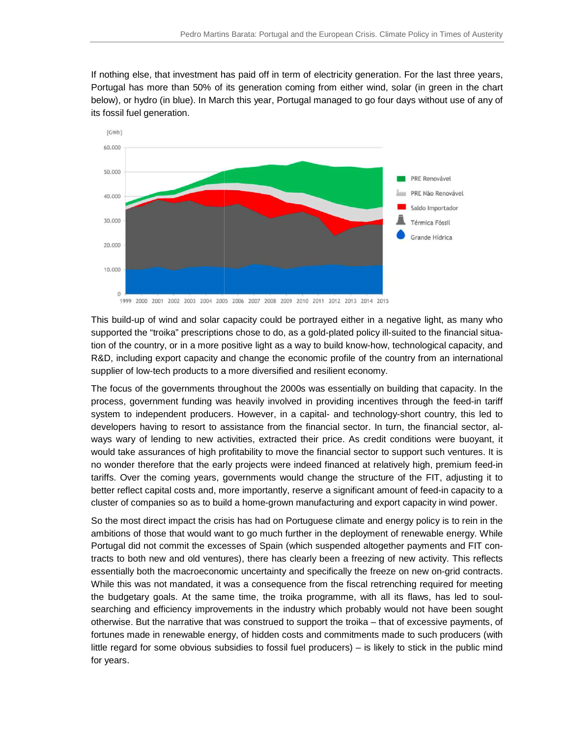If nothing else, that investment has paid off in term of electricity generation. For the last three years, Portugal has more than 50% of its generation coming from either wind, solar (in green in the chart Portugal has more than 50% of its generation coming from either wind, solar (in green in the chart<br>below), or hydro (in blue). In March this year, Portugal managed to go four days without use of any of its fossil fuel generation.



This build-up of wind and solar capacity could be portrayed either in a negative light, as many who This build-up of wind and solar capacity could be portrayed either in a negative light, as many wl<br>supported the "troika" prescriptions chose to do, as a gold-plated policy ill-suited to the financial situ tion of the country, or in a more positive light as a way to build know-how, technological capacity, and R&D, including export capacity and change the economic profile of the country from an international supplier of low-tech products to a more diversified and resilient economy.

The focus of the governments throughout the 2000s was essentially on building that capacity. In the process, government funding was heavily involved in providing incentives through the feed system to independent producers. However, in a capital- and technology-short country, this led to<br>developers having to resort to assistance from the financial sector. In turn, the financial sector, aldevelopers having to resort to assistance from the financial sector. In turn, the financial sector, always wary of lending to new activities, extracted their price. As credit conditions were buoyant, it would take assurances of high profitability to move the financial sector to support such ventures. It is ways wary of lending to new activities, extracted their price. As credit conditions were buoyant, it<br>would take assurances of high profitability to move the financial sector to support such ventures. It is<br>no wonder theref tariffs. Over the coming years, governments would change the structure of the FIT, adjusting it to tariffs. Over the coming years, governments would change the structure of the FIT, adjusting it to<br>better reflect capital costs and, more importantly, reserve a significant amount of feed-in capacity to a would take assurances of high profitability to move the financial sector to support such ventures. It in<br>no wonder therefore that the early projects were indeed financed at relatively high, premium feed-i<br>tariffs. Over the lier of low-tech products to a more diversified and resilient economy.<br>ocus of the governments throughout the 2000s was essentially on building that capacity. In the<br>iss, government funding was heavily involved in providin including export capacity and change the economic profile of the country from an international<br>er of low-tech products to a more diversified and resilient economy.<br>lous of the governments throughout the 2000s was essential

cluster of companies so as to build a home-grown manufacturing and export capacity in wind power.<br>So the most direct impact the crisis has had on Portuguese climate and energy policy is to rein in the ambitions of those that would want to go much further in the deployment of renewable energy. While Portugal did not commit the excesses of Spain (which suspended altogether payments and FIT co tracts to both new and old ventures), there has clearly been a freezing of new activity. This reflects tracts to both new and old ventures), there has clearly been a freezing of new activity. This reflects<br>essentially both the macroeconomic uncertainty and specifically the freeze on new on-grid contracts. While this was not mandated, it was a consequence from the fiscal retrenching required for meeting the budgetary goals. At the same time, the troika programme, with all its flaws, has led to soulsearching and efficiency improvements in the industry which probably would not have been sought otherwise. But the narrative that was construed to support the troika – that of excessive payments, of fortunes made in renewable energy, of hidden costs and commitments made to such producers (with fortunes made in renewable energy, of hidden costs and commitments made to such producers (with<br>little regard for some obvious subsidies to fossil fuel producers) – is likely to stick in the public mind for years. ambitions of those that would want to go much further in the deployment of renewable energy. While<br>Portugal did not commit the excesses of Spain (which suspended altogether payments and FIT con-<br>tracts to both new and old essentially both the macroeconomic uncertainty and specifically the freeze on new on-grid contracts.<br>While this was not mandated, it was a consequence from the fiscal retrenching required for meeting<br>the budgetary goals. A searching and efficiency improvements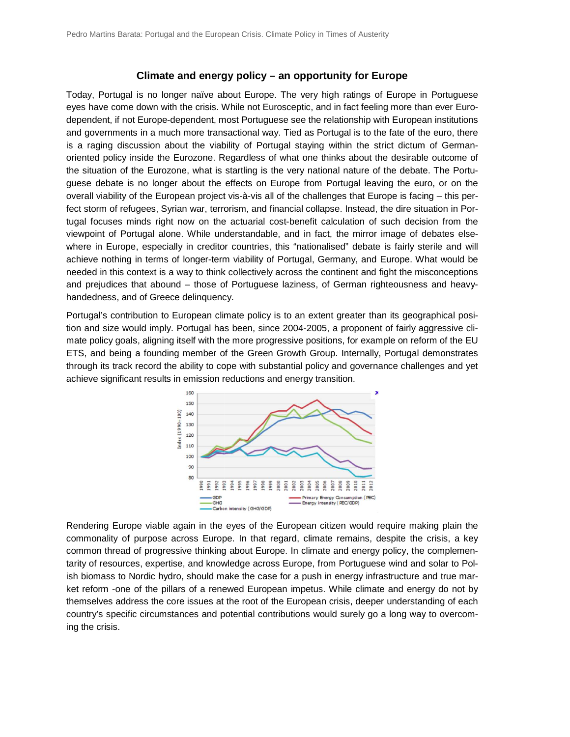#### **Climate and energy policy – an opportunity for Europe**

Today, Portugal is no longer naïve about Europe. The very high ratings of Europe in Portuguese Today, Portugal is no longer naïve about Europe. The very high ratings of Europe in Portuguese<br>eyes have come down with the crisis. While not Eurosceptic, and in fact feeling more than ever Eurodependent, if not Europe-dependent, most Portuguese see the relationship with European institutions and governments in a much more transactional way. Tied as Portugal is to the fate of the euro, there is a raging discussion about the viability of Portugal staying within the strict dictum of Germanoriented policy inside the Eurozone. Regardless of what one thinks about the desirable outcome of oriented policy inside the Eurozone. Regardless of what one thinks about the desirable outcome of<br>the situation of the Eurozone, what is startling is the very national nature of the debate. The Portuguese debate is no longer about the effects on Europe from Portugal leaving the euro, or on the guese debate is no longer about the effects on Europe from Portugal leaving the euro, or on the<br>overall viability of the European project vis-à-vis all of the challenges that Europe is facing – this perfect storm of refugees, Syrian war, terrorism, and financial collapse. Instead, the dire situation in Portugal focuses minds right now on the actuarial cost-benefit calculation of such decision from the tugal focuses minds right now on the actuarial cost-benefit calculation of such decision from the<br>viewpoint of Portugal alone. While understandable, and in fact, the mirror image of debates elsewhere in Europe, especially in creditor countries, this "nationalised" debate is fairly sterile and will where in Europe, especially in creditor countries, this "nationalised" debate is fairly sterile and will achieve nothing in terms of longer-term viability of Portugal, Germany, and Europe. What would be needed in this cont needed in this context is a way to think collectively across the continent and fight the misconceptions and prejudices that abound – those of Portuguese laziness, of German righteousness and heavy handedness, and of Greece delinquency. dependent, if not Europe-dependent, most Portuguese see the relationship with European institutions<br>and governments in a much more transactional way. Tied as Portugal is to the fate of the euro, there<br>is a raging discussio d policy inside the Eurozone. Regardless of what one thinks about the desirable o<br>ation of the Eurozone, what is startling is the very national nature of the debate. T<br>debate is no longer about the effects on Europe from P

Portugal's contribution to European climate policy is to an extent greater than its geographical posi-Portugal's contribution to European climate policy is to an extent greater than its geographical posi-<br>tion and size would imply. Portugal has been, since 2004-2005, a proponent of fairly aggressive climate policy goals, aligning itself with the more progressive positions, for example on reform of the EU ETS, and being a founding member of the Green Growth Group. Internally, Portugal demonstrates through its track record the ability to cope with substantial policy and governance challenges and yet achieve significant results in emission reductions and energy transition.



Rendering Europe viable again in the eyes of the European citizen would require making plain the commonality of purpose across Europe. In that regard, climate remains, despite the crisis, a key common thread of progressive thinking about Europe. In climate and energy policy, the compleme tarity of resources, expertise, and knowledge across Europe, from Portuguese wind and solar to Po Polish biomass to Nordic hydro, should make the case for a push in energy infrastructure and true martarity of resources, expertise, and knowledge across Europe, from Portuguese wind and solar to Pol-<br>ish biomass to Nordic hydro, should make the case for a push in energy infrastructure and true mar-<br>ket reform -one of the themselves address the core issues at the root of the European crisis, deeper understanding of each ket reform -one of the pillars of a renewed European impetus. While climate and energy do not by<br>themselves address the core issues at the root of the European crisis, deeper understanding of each<br>country's specific circum ing the crisis.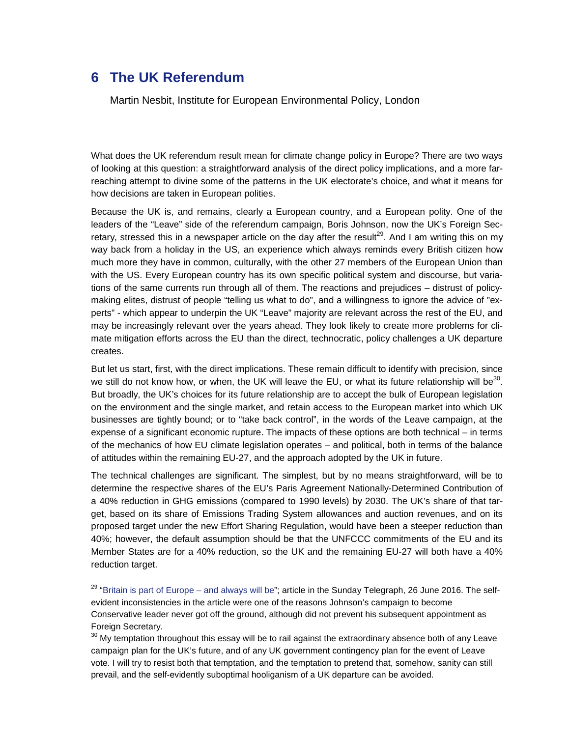## **6 The UK Referendum**

 $\overline{a}$ 

Martin Nesbit, Institute for European Environmental Policy, London

What does the UK referendum result mean for climate change policy in Europe? There are two ways of looking at this question: a straightforward analysis of the direct policy implications, and a more farreaching attempt to divine some of the patterns in the UK electorate's choice, and what it means for how decisions are taken in European polities.

Because the UK is, and remains, clearly a European country, and a European polity. One of the leaders of the "Leave" side of the referendum campaign, Boris Johnson, now the UK's Foreign Secretary, stressed this in a newspaper article on the day after the result<sup>29</sup>. And I am writing this on my way back from a holiday in the US, an experience which always reminds every British citizen how much more they have in common, culturally, with the other 27 members of the European Union than with the US. Every European country has its own specific political system and discourse, but variations of the same currents run through all of them. The reactions and prejudices – distrust of policymaking elites, distrust of people "telling us what to do", and a willingness to ignore the advice of "experts" - which appear to underpin the UK "Leave" majority are relevant across the rest of the EU, and may be increasingly relevant over the years ahead. They look likely to create more problems for climate mitigation efforts across the EU than the direct, technocratic, policy challenges a UK departure creates.

But let us start, first, with the direct implications. These remain difficult to identify with precision, since we still do not know how, or when, the UK will leave the EU, or what its future relationship will be<sup>30</sup>. But broadly, the UK's choices for its future relationship are to accept the bulk of European legislation on the environment and the single market, and retain access to the European market into which UK businesses are tightly bound; or to "take back control", in the words of the Leave campaign, at the expense of a significant economic rupture. The impacts of these options are both technical – in terms of the mechanics of how EU climate legislation operates – and political, both in terms of the balance of attitudes within the remaining EU-27, and the approach adopted by the UK in future.

The technical challenges are significant. The simplest, but by no means straightforward, will be to determine the respective shares of the EU's Paris Agreement Nationally-Determined Contribution of a 40% reduction in GHG emissions (compared to 1990 levels) by 2030. The UK's share of that target, based on its share of Emissions Trading System allowances and auction revenues, and on its proposed target under the new Effort Sharing Regulation, would have been a steeper reduction than 40%; however, the default assumption should be that the UNFCCC commitments of the EU and its Member States are for a 40% reduction, so the UK and the remaining EU-27 will both have a 40% reduction target.

<sup>&</sup>lt;sup>29</sup> "Britain is part of Europe – and always will be"; article in the Sunday Telegraph, 26 June 2016. The selfevident inconsistencies in the article were one of the reasons Johnson's campaign to become Conservative leader never got off the ground, although did not prevent his subsequent appointment as Foreign Secretary.

 $30$  My temptation throughout this essay will be to rail against the extraordinary absence both of any Leave campaign plan for the UK's future, and of any UK government contingency plan for the event of Leave vote. I will try to resist both that temptation, and the temptation to pretend that, somehow, sanity can still prevail, and the self-evidently suboptimal hooliganism of a UK departure can be avoided.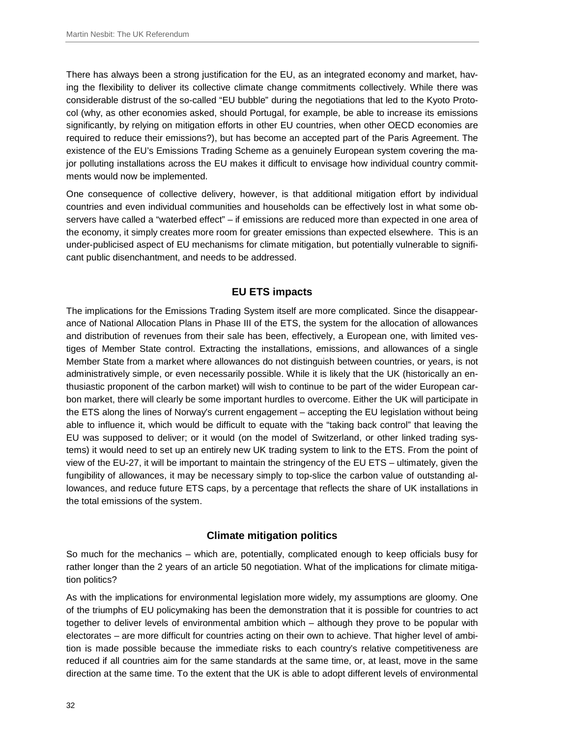There has always been a strong justification for the EU, as an integrated economy and market, having the flexibility to deliver its collective climate change commitments collectively. While there was considerable distrust of the so-called "EU bubble" during the negotiations that led to the Kyoto Protocol (why, as other economies asked, should Portugal, for example, be able to increase its emissions significantly, by relying on mitigation efforts in other EU countries, when other OECD economies are required to reduce their emissions?), but has become an accepted part of the Paris Agreement. The existence of the EU's Emissions Trading Scheme as a genuinely European system covering the major polluting installations across the EU makes it difficult to envisage how individual country commitments would now be implemented.

One consequence of collective delivery, however, is that additional mitigation effort by individual countries and even individual communities and households can be effectively lost in what some observers have called a "waterbed effect" – if emissions are reduced more than expected in one area of the economy, it simply creates more room for greater emissions than expected elsewhere. This is an under-publicised aspect of EU mechanisms for climate mitigation, but potentially vulnerable to significant public disenchantment, and needs to be addressed.

#### **EU ETS impacts**

The implications for the Emissions Trading System itself are more complicated. Since the disappearance of National Allocation Plans in Phase III of the ETS, the system for the allocation of allowances and distribution of revenues from their sale has been, effectively, a European one, with limited vestiges of Member State control. Extracting the installations, emissions, and allowances of a single Member State from a market where allowances do not distinguish between countries, or years, is not administratively simple, or even necessarily possible. While it is likely that the UK (historically an enthusiastic proponent of the carbon market) will wish to continue to be part of the wider European carbon market, there will clearly be some important hurdles to overcome. Either the UK will participate in the ETS along the lines of Norway's current engagement – accepting the EU legislation without being able to influence it, which would be difficult to equate with the "taking back control" that leaving the EU was supposed to deliver; or it would (on the model of Switzerland, or other linked trading systems) it would need to set up an entirely new UK trading system to link to the ETS. From the point of view of the EU-27, it will be important to maintain the stringency of the EU ETS – ultimately, given the fungibility of allowances, it may be necessary simply to top-slice the carbon value of outstanding allowances, and reduce future ETS caps, by a percentage that reflects the share of UK installations in the total emissions of the system.

#### **Climate mitigation politics**

So much for the mechanics – which are, potentially, complicated enough to keep officials busy for rather longer than the 2 years of an article 50 negotiation. What of the implications for climate mitigation politics?

As with the implications for environmental legislation more widely, my assumptions are gloomy. One of the triumphs of EU policymaking has been the demonstration that it is possible for countries to act together to deliver levels of environmental ambition which – although they prove to be popular with electorates – are more difficult for countries acting on their own to achieve. That higher level of ambition is made possible because the immediate risks to each country's relative competitiveness are reduced if all countries aim for the same standards at the same time, or, at least, move in the same direction at the same time. To the extent that the UK is able to adopt different levels of environmental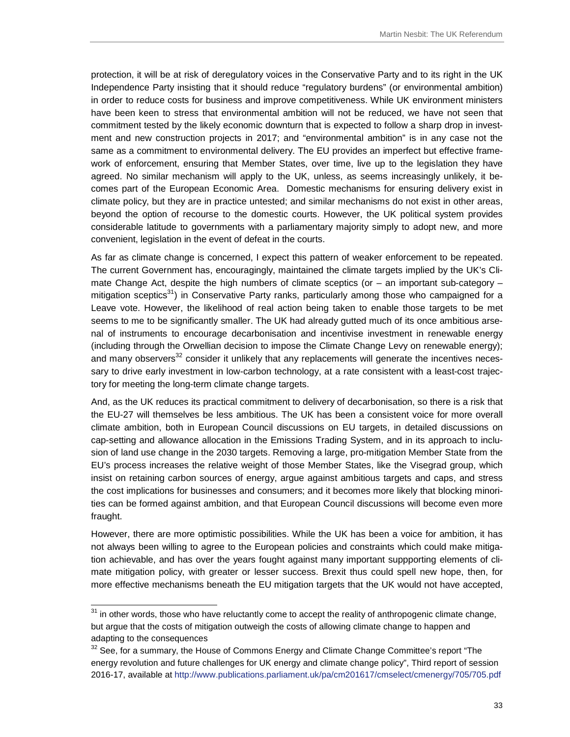protection, it will be at risk of deregulatory voices in the Conservative Party and to its right in the UK Independence Party insisting that it should reduce "regulatory burdens" (or environmental ambition) in order to reduce costs for business and improve competitiveness. While UK environment ministers have been keen to stress that environmental ambition will not be reduced, we have not seen that commitment tested by the likely economic downturn that is expected to follow a sharp drop in investment and new construction projects in 2017; and "environmental ambition" is in any case not the same as a commitment to environmental delivery. The EU provides an imperfect but effective framework of enforcement, ensuring that Member States, over time, live up to the legislation they have agreed. No similar mechanism will apply to the UK, unless, as seems increasingly unlikely, it becomes part of the European Economic Area. Domestic mechanisms for ensuring delivery exist in climate policy, but they are in practice untested; and similar mechanisms do not exist in other areas, beyond the option of recourse to the domestic courts. However, the UK political system provides considerable latitude to governments with a parliamentary majority simply to adopt new, and more convenient, legislation in the event of defeat in the courts.

As far as climate change is concerned, I expect this pattern of weaker enforcement to be repeated. The current Government has, encouragingly, maintained the climate targets implied by the UK's Climate Change Act, despite the high numbers of climate sceptics (or  $-$  an important sub-category  $$ mitigation sceptics<sup>31</sup>) in Conservative Party ranks, particularly among those who campaigned for a Leave vote. However, the likelihood of real action being taken to enable those targets to be met seems to me to be significantly smaller. The UK had already gutted much of its once ambitious arsenal of instruments to encourage decarbonisation and incentivise investment in renewable energy (including through the Orwellian decision to impose the Climate Change Levy on renewable energy); and many observers<sup>32</sup> consider it unlikely that any replacements will generate the incentives necessary to drive early investment in low-carbon technology, at a rate consistent with a least-cost trajectory for meeting the long-term climate change targets.

And, as the UK reduces its practical commitment to delivery of decarbonisation, so there is a risk that the EU-27 will themselves be less ambitious. The UK has been a consistent voice for more overall climate ambition, both in European Council discussions on EU targets, in detailed discussions on cap-setting and allowance allocation in the Emissions Trading System, and in its approach to inclusion of land use change in the 2030 targets. Removing a large, pro-mitigation Member State from the EU's process increases the relative weight of those Member States, like the Visegrad group, which insist on retaining carbon sources of energy, argue against ambitious targets and caps, and stress the cost implications for businesses and consumers; and it becomes more likely that blocking minorities can be formed against ambition, and that European Council discussions will become even more fraught.

However, there are more optimistic possibilities. While the UK has been a voice for ambition, it has not always been willing to agree to the European policies and constraints which could make mitigation achievable, and has over the years fought against many important suppporting elements of climate mitigation policy, with greater or lesser success. Brexit thus could spell new hope, then, for more effective mechanisms beneath the EU mitigation targets that the UK would not have accepted,

l

 $31$  in other words, those who have reluctantly come to accept the reality of anthropogenic climate change, but argue that the costs of mitigation outweigh the costs of allowing climate change to happen and adapting to the consequences

 $32$  See, for a summary, the House of Commons Energy and Climate Change Committee's report "The energy revolution and future challenges for UK energy and climate change policy", Third report of session 2016-17, available at http://www.publications.parliament.uk/pa/cm201617/cmselect/cmenergy/705/705.pdf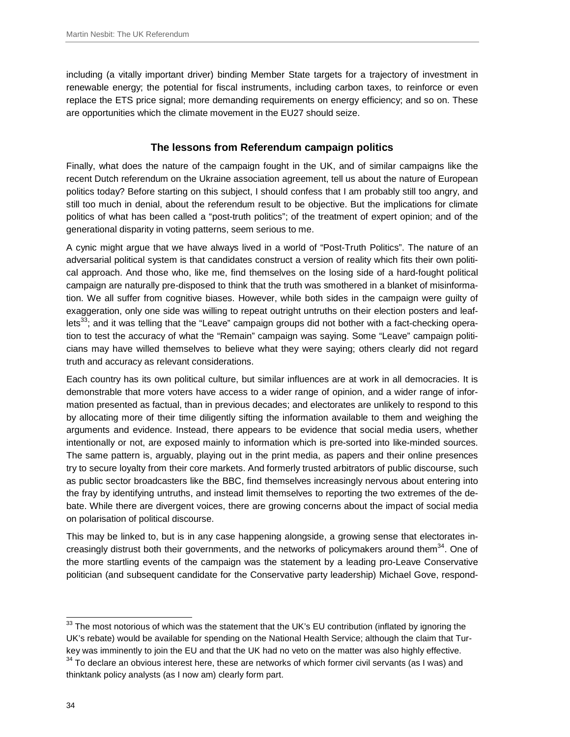including (a vitally important driver) binding Member State targets for a trajectory of investment in renewable energy; the potential for fiscal instruments, including carbon taxes, to reinforce or even replace the ETS price signal; more demanding requirements on energy efficiency; and so on. These are opportunities which the climate movement in the EU27 should seize.

#### **The lessons from Referendum campaign politics**

Finally, what does the nature of the campaign fought in the UK, and of similar campaigns like the recent Dutch referendum on the Ukraine association agreement, tell us about the nature of European politics today? Before starting on this subject, I should confess that I am probably still too angry, and still too much in denial, about the referendum result to be objective. But the implications for climate politics of what has been called a "post-truth politics"; of the treatment of expert opinion; and of the generational disparity in voting patterns, seem serious to me.

A cynic might argue that we have always lived in a world of "Post-Truth Politics". The nature of an adversarial political system is that candidates construct a version of reality which fits their own political approach. And those who, like me, find themselves on the losing side of a hard-fought political campaign are naturally pre-disposed to think that the truth was smothered in a blanket of misinformation. We all suffer from cognitive biases. However, while both sides in the campaign were guilty of exaggeration, only one side was willing to repeat outright untruths on their election posters and leaf $lets<sup>33</sup>$ ; and it was telling that the "Leave" campaign groups did not bother with a fact-checking operation to test the accuracy of what the "Remain" campaign was saying. Some "Leave" campaign politicians may have willed themselves to believe what they were saying; others clearly did not regard truth and accuracy as relevant considerations.

Each country has its own political culture, but similar influences are at work in all democracies. It is demonstrable that more voters have access to a wider range of opinion, and a wider range of information presented as factual, than in previous decades; and electorates are unlikely to respond to this by allocating more of their time diligently sifting the information available to them and weighing the arguments and evidence. Instead, there appears to be evidence that social media users, whether intentionally or not, are exposed mainly to information which is pre-sorted into like-minded sources. The same pattern is, arguably, playing out in the print media, as papers and their online presences try to secure loyalty from their core markets. And formerly trusted arbitrators of public discourse, such as public sector broadcasters like the BBC, find themselves increasingly nervous about entering into the fray by identifying untruths, and instead limit themselves to reporting the two extremes of the debate. While there are divergent voices, there are growing concerns about the impact of social media on polarisation of political discourse.

This may be linked to, but is in any case happening alongside, a growing sense that electorates increasingly distrust both their governments, and the networks of policymakers around them<sup>34</sup>. One of the more startling events of the campaign was the statement by a leading pro-Leave Conservative politician (and subsequent candidate for the Conservative party leadership) Michael Gove, respond-

 $\overline{a}$  $33$  The most notorious of which was the statement that the UK's EU contribution (inflated by ignoring the UK's rebate) would be available for spending on the National Health Service; although the claim that Turkey was imminently to join the EU and that the UK had no veto on the matter was also highly effective.  $34$  To declare an obvious interest here, these are networks of which former civil servants (as I was) and

thinktank policy analysts (as I now am) clearly form part.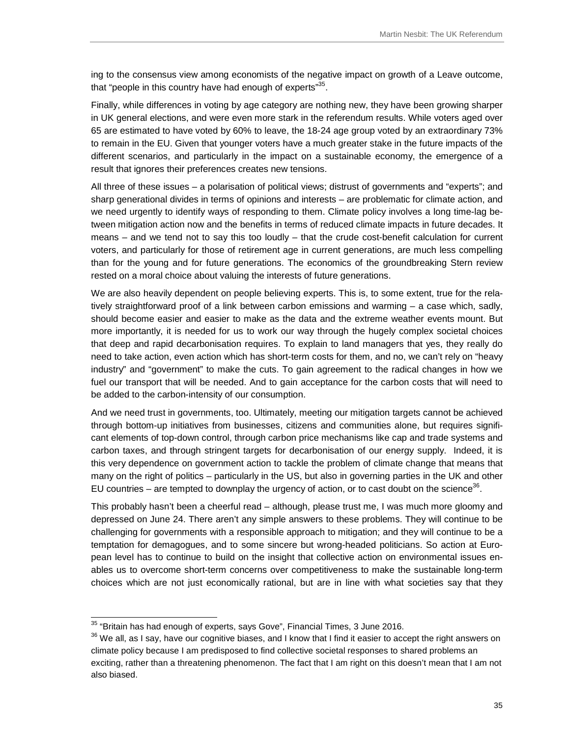ing to the consensus view among economists of the negative impact on growth of a Leave outcome, that "people in this country have had enough of experts"<sup>35</sup>.

Finally, while differences in voting by age category are nothing new, they have been growing sharper in UK general elections, and were even more stark in the referendum results. While voters aged over 65 are estimated to have voted by 60% to leave, the 18-24 age group voted by an extraordinary 73% to remain in the EU. Given that younger voters have a much greater stake in the future impacts of the different scenarios, and particularly in the impact on a sustainable economy, the emergence of a result that ignores their preferences creates new tensions.

All three of these issues – a polarisation of political views; distrust of governments and "experts"; and sharp generational divides in terms of opinions and interests – are problematic for climate action, and we need urgently to identify ways of responding to them. Climate policy involves a long time-lag between mitigation action now and the benefits in terms of reduced climate impacts in future decades. It means – and we tend not to say this too loudly – that the crude cost-benefit calculation for current voters, and particularly for those of retirement age in current generations, are much less compelling than for the young and for future generations. The economics of the groundbreaking Stern review rested on a moral choice about valuing the interests of future generations.

We are also heavily dependent on people believing experts. This is, to some extent, true for the relatively straightforward proof of a link between carbon emissions and warming – a case which, sadly, should become easier and easier to make as the data and the extreme weather events mount. But more importantly, it is needed for us to work our way through the hugely complex societal choices that deep and rapid decarbonisation requires. To explain to land managers that yes, they really do need to take action, even action which has short-term costs for them, and no, we can't rely on "heavy industry" and "government" to make the cuts. To gain agreement to the radical changes in how we fuel our transport that will be needed. And to gain acceptance for the carbon costs that will need to be added to the carbon-intensity of our consumption.

And we need trust in governments, too. Ultimately, meeting our mitigation targets cannot be achieved through bottom-up initiatives from businesses, citizens and communities alone, but requires significant elements of top-down control, through carbon price mechanisms like cap and trade systems and carbon taxes, and through stringent targets for decarbonisation of our energy supply. Indeed, it is this very dependence on government action to tackle the problem of climate change that means that many on the right of politics – particularly in the US, but also in governing parties in the UK and other EU countries – are tempted to downplay the urgency of action, or to cast doubt on the science<sup>36</sup>.

This probably hasn't been a cheerful read – although, please trust me, I was much more gloomy and depressed on June 24. There aren't any simple answers to these problems. They will continue to be challenging for governments with a responsible approach to mitigation; and they will continue to be a temptation for demagogues, and to some sincere but wrong-headed politicians. So action at European level has to continue to build on the insight that collective action on environmental issues enables us to overcome short-term concerns over competitiveness to make the sustainable long-term choices which are not just economically rational, but are in line with what societies say that they

 $\overline{a}$ 

 $35$  "Britain has had enough of experts, says Gove", Financial Times, 3 June 2016.

<sup>&</sup>lt;sup>36</sup> We all, as I say, have our cognitive biases, and I know that I find it easier to accept the right answers on climate policy because I am predisposed to find collective societal responses to shared problems an exciting, rather than a threatening phenomenon. The fact that I am right on this doesn't mean that I am not also biased.